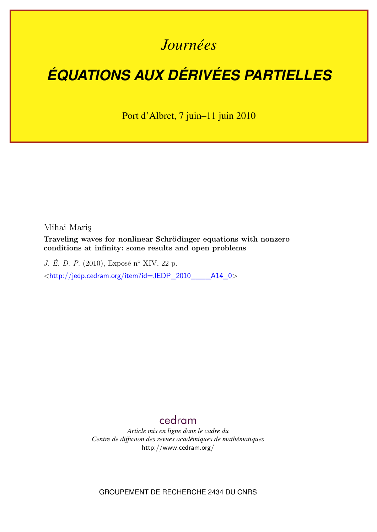# *Journées*

# *ÉQUATIONS AUX DÉRIVÉES PARTIELLES*

Port d'Albret, 7 juin–11 juin 2010

Mihai Mariş

**Traveling waves for nonlinear Schrödinger equations with nonzero conditions at infinity: some results and open problems**

*J. É. D. P.* (2010), Exposé n<sup>o</sup> XIV, 22 p. <[http://jedp.cedram.org/item?id=JEDP\\_2010\\_\\_\\_\\_A14\\_0](http://jedp.cedram.org/item?id=JEDP_2010____A14_0)>

# [cedram](http://www.cedram.org/)

*Article mis en ligne dans le cadre du Centre de diffusion des revues académiques de mathématiques* <http://www.cedram.org/>

GROUPEMENT DE RECHERCHE 2434 DU CNRS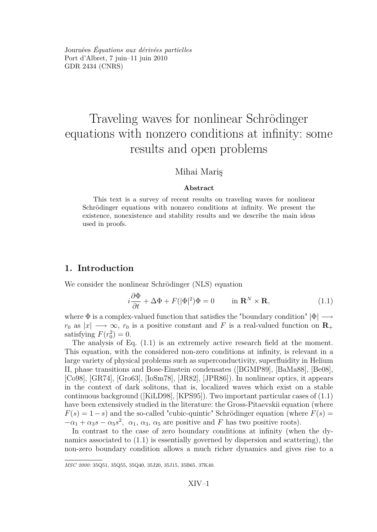<span id="page-1-0"></span>Journées *Équations aux dérivées partielles* Port d'Albret, 7 juin–11 juin 2010 GDR 2434 [\(CNRS\)](http://www.cnrs.fr)

# Traveling waves for nonlinear Schrödinger equations with nonzero conditions at infinity: some results and open problems

# Mihai Mariş

#### **Abstract**

This text is a survey of recent results on traveling waves for nonlinear Schrödinger equations with nonzero conditions at infinity. We present the existence, nonexistence and stability results and we describe the main ideas used in proofs.

## **1. Introduction**

We consider the nonlinear Schrödinger (NLS) equation

$$
i\frac{\partial \Phi}{\partial t} + \Delta \Phi + F(|\Phi|^2)\Phi = 0 \quad \text{in } \mathbf{R}^N \times \mathbf{R}, \tag{1.1}
$$

where Φ is a complex-valued function that satisfies the "boundary condition" *|*Φ*| −→*  $r_0$  as  $|x| \rightarrow \infty$ ,  $r_0$  is a positive constant and *F* is a real-valued function on **R**<sub>+</sub> satisfying  $F(r_0^2) = 0$ .

The analysis of Eq. (1.1) is an extremely active research field at the moment. This equation, with the considered non-zero conditions at infinity, is relevant in a large variety of physical problems such as superconductivity, superfluidity in Helium II, phase transitions and Bose-Einstein condensates ([\[BGMP89\]](#page-18-0), [\[BaMa88\]](#page-18-0), [\[Be08\]](#page-18-0), [\[Co98\]](#page-19-0), [\[GR74\]](#page-20-0), [\[Gro63\]](#page-20-0), [\[IoSm78\]](#page-20-0), [\[JR82\]](#page-21-0), [\[JPR86\]](#page-21-0)). In nonlinear optics, it appears in the context of dark solitons, that is, localized waves which exist on a stable continuous background ([\[KiLD98\]](#page-21-0), [\[KPS95\]](#page-21-0)). Two important particular cases of (1.1) have been extensively studied in the literature: the Gross-Pitaevskii equation (where  $F(s) = 1 - s$  and the so-called "cubic-quintic" Schrödinger equation (where  $F(s) =$  $-\alpha_1 + \alpha_3 s - \alpha_5 s^2$ ,  $\alpha_1, \alpha_3, \alpha_5$  are positive and *F* has two positive roots).

In contrast to the case of zero boundary conditions at infinity (when the dynamics associated to (1.1) is essentially governed by dispersion and scattering), the non-zero boundary condition allows a much richer dynamics and gives rise to a

*MSC 2000:* 35Q51, 35Q55, 35Q40, 35J20, 35J15, 35B65, 37K40.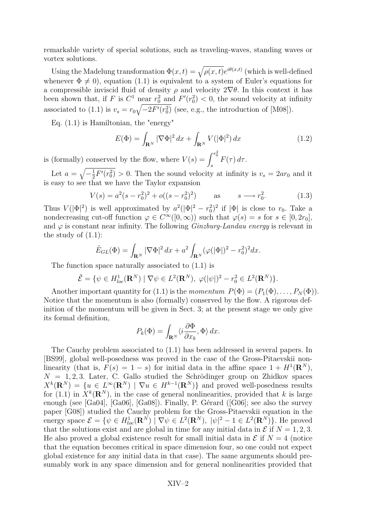<span id="page-2-0"></span>remarkable variety of special solutions, such as traveling-waves, standing waves or vortex solutions.

Using the Madelung transformation  $\Phi(x,t) = \sqrt{\rho(x,t)}e^{i\theta(x,t)}$  (which is well-defined whenever  $\Phi \neq 0$ , equation [\(1.1\)](#page-1-0) is equivalent to a system of Euler's equations for a compressible inviscid fluid of density  $\rho$  and velocity  $2\nabla\theta$ . In this context it has been shown that, if *F* is  $C^1$  near  $r_0^2$  and  $F'(r_0^2) < 0$ , the sound velocity at infinity associated to [\(1.1\)](#page-1-0) is  $v_s = r_0 \sqrt{-2F'(r_0^2)}$  (see, e.g., the introduction of [\[M08\]](#page-21-0)).

Eq. [\(1.1\)](#page-1-0) is Hamiltonian, the "energy"

$$
E(\Phi) = \int_{\mathbf{R}^N} |\nabla \Phi|^2 dx + \int_{\mathbf{R}^N} V(|\Phi|^2) dx
$$
 (1.2)

is (formally) conserved by the flow, where  $V(s) = \int^{r_0^2}$  $\int_{s}^{b} F(\tau) d\tau.$ 

Let  $a = \sqrt{-\frac{1}{2}}$  $\frac{1}{2}F'(r_0^2) > 0$ . Then the sound velocity at infinity is  $v_s = 2ar_0$  and it is easy to see that we have the Taylor expansion

$$
V(s) = a^2(s - r_0^2)^2 + o((s - r_0^2)^2) \qquad \text{as} \qquad s \longrightarrow r_0^2. \tag{1.3}
$$

Thus  $V(|\Phi|^2)$  is well approximated by  $a^2(|\Phi|^2 - r_0^2)^2$  if  $|\Phi|$  is close to  $r_0$ . Take a nondecreasing cut-off function  $\varphi \in C^{\infty}([0,\infty))$  such that  $\varphi(s) = s$  for  $s \in [0, 2r_0]$ , and  $\varphi$  is constant near infinity. The following *Ginzburg-Landau energy* is relevant in the study of  $(1.1)$ :

$$
\tilde{E}_{GL}(\Phi) = \int_{\mathbf{R}^N} |\nabla \Phi|^2 dx + a^2 \int_{\mathbf{R}^N} (\varphi(|\Phi|)^2 - r_0^2)^2 dx.
$$

The function space naturally associated to [\(1.1\)](#page-1-0) is

$$
\tilde{\mathcal{E}} = \{ \psi \in H_{loc}^1(\mathbf{R}^N) \mid \nabla \psi \in L^2(\mathbf{R}^N), \ \varphi(|\psi|)^2 - r_0^2 \in L^2(\mathbf{R}^N) \}.
$$

Another important quantity for [\(1.1\)](#page-1-0) is the *momentum*  $P(\Phi) = (P_1(\Phi), \ldots, P_N(\Phi)).$ Notice that the momentum is also (formally) conserved by the flow. A rigorous definition of the momentum will be given in Sect. 3; at the present stage we only give its formal definition,

$$
P_k(\Phi) = \int_{\mathbf{R}^N} \langle i \frac{\partial \Phi}{\partial x_k}, \Phi \rangle dx.
$$

The Cauchy problem associated to [\(1.1\)](#page-1-0) has been addressed in several papers. In [\[BS99\]](#page-19-0), global well-posedness was proved in the case of the Gross-Pitaevskii nonlinearity (that is,  $F(s) = 1 - s$ ) for initial data in the affine space  $1 + H<sup>1</sup>(\mathbf{R}^{N})$ ,  $N = 1, 2, 3$ . Later, C. Gallo studied the Schrödinger group on Zhidkov spaces  $X^k(\mathbf{R}^N) = \{u \in L^\infty(\mathbf{R}^N) \mid \nabla u \in H^{k-1}(\mathbf{R}^N)\}\$ and proved well-posedness results for [\(1.1\)](#page-1-0) in  $X^k(\mathbf{R}^N)$ , in the case of general nonlinearities, provided that *k* is large enough (see [\[Ga04\]](#page-19-0), [\[Ga06\]](#page-19-0), [\[Ga08\]](#page-19-0)). Finally, P. Gérard ([\[G06\]](#page-20-0); see also the survey paper [\[G08\]](#page-20-0)) studied the Cauchy problem for the Gross-Pitaevskii equation in the energy space  $\mathcal{E} = \{ \psi \in H_{loc}^1(\mathbf{R}^N) \mid \nabla \psi \in L^2(\mathbf{R}^N), \ |\psi|^2 - 1 \in L^2(\mathbf{R}^N) \}.$  He proved that the solutions exist and are global in time for any initial data in  $\mathcal E$  if  $N = 1, 2, 3$ . He also proved a global existence result for small initial data in  $\mathcal E$  if  $N=4$  (notice that the equation becomes critical in space dimension four, so one could not expect global existence for any initial data in that case). The same arguments should presumably work in any space dimension and for general nonlinearities provided that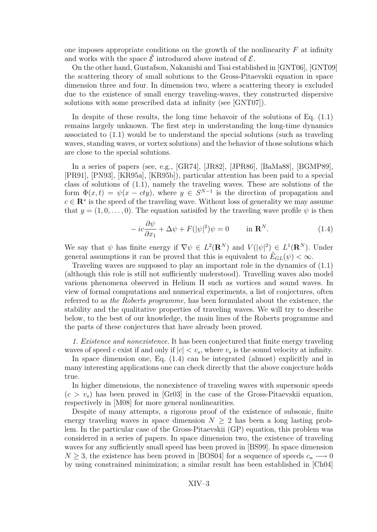<span id="page-3-0"></span>one imposes appropriate conditions on the growth of the nonlinearity *F* at infinity and works with the space  $\mathcal{\hat{E}}$  introduced above instead of  $\mathcal{E}$ .

On the other hand, Gustafson, Nakanishi and Tsai established in [\[GNT06\]](#page-20-0), [\[GNT09\]](#page-20-0) the scattering theory of small solutions to the Gross-Pitaevskii equation in space dimension three and four. In dimension two, where a scattering theory is excluded due to the existence of small energy traveling-waves, they constructed dispersive solutions with some prescribed data at infinity (see [\[GNT07\]](#page-20-0)).

In despite of these results, the long time behavoir of the solutions of Eq. [\(1.1\)](#page-1-0) remains largely unknown. The first step in understanding the long-time dynamics associated to [\(1.1\)](#page-1-0) would be to understand the special solutions (such as traveling waves, standing waves, or vortex solutions) and the behavior of those solutions which are close to the special solutions.

In a series of papers (see, e.g., [\[GR74\]](#page-20-0), [\[JR82\]](#page-21-0), [\[JPR86\]](#page-21-0), [\[BaMa88\]](#page-18-0), [\[BGMP89\]](#page-18-0), [\[PR91\]](#page-22-0), [\[PN93\]](#page-22-0), [\[KR95a\]](#page-21-0), [\[KR95b\]](#page-21-0)), particular attention has been paid to a special class of solutions of [\(1.1\)](#page-1-0), namely the traveling waves. These are solutions of the form  $\Phi(x,t) = \psi(x - cty)$ , where  $y \in S^{N-1}$  is the direction of propagation and  $c \in \mathbb{R}^*$  is the speed of the traveling wave. Without loss of generality we may assume that  $y = (1, 0, \ldots, 0)$ . The equation satisfied by the traveling wave profile  $\psi$  is then

$$
-ic\frac{\partial\psi}{\partial x_1} + \Delta\psi + F(|\psi|^2)\psi = 0 \quad \text{in } \mathbf{R}^N. \tag{1.4}
$$

We say that  $\psi$  has finite energy if  $\nabla \psi \in L^2(\mathbf{R}^N)$  and  $V(|\psi|^2) \in L^1(\mathbf{R}^N)$ . Under general assumptions it can be proved that this is equivalent to  $\tilde{E}_{GL}(\psi) < \infty$ .

Traveling waves are supposed to play an important role in the dynamics of [\(1.1\)](#page-1-0) (although this role is still not sufficiently understood). Travelling waves also model various phenomena observed in Helium II such as vortices and sound waves. In view of formal computations and numerical experiments, a list of conjectures, often referred to as *the Roberts programme,* has been formulated about the existence, the stability and the qualitative properties of traveling waves. We will try to describe below, to the best of our knowledge, the main lines of the Roberts programme and the parts of these conjectures that have already been proved.

*1. Existence and nonexistence.* It has been conjectured that finite energy traveling waves of speed *c* exist if and only if  $|c| < v_s$ , where  $v_s$  is the sound velocity at infinity.

In space dimension one, Eq. (1.4) can be integrated (almost) explicitly and in many interesting applications one can check directly that the above conjecture holds true.

In higher dimensions, the nonexistence of traveling waves with supersonic speeds  $(c > v_s)$  has been proved in [\[Gr03\]](#page-20-0) in the case of the Gross-Pitaevskii equation, respectively in [\[M08\]](#page-21-0) for more general nonlinearities.

Despite of many attempts, a rigorous proof of the existence of subsonic, finite energy traveling waves in space dimension  $N \geq 2$  has been a long lasting problem. In the particular case of the Gross-Pitaevskii (GP) equation, this problem was considered in a series of papers. In space dimension two, the existence of traveling waves for any sufficiently small speed has been proved in [\[BS99\]](#page-19-0). In space dimension *N*  $\geq$  3, the existence has been proved in [\[BOS04\]](#page-19-0) for a sequence of speeds  $c_n \longrightarrow 0$ by using constrained minimization; a similar result has been established in [\[Ch04\]](#page-19-0)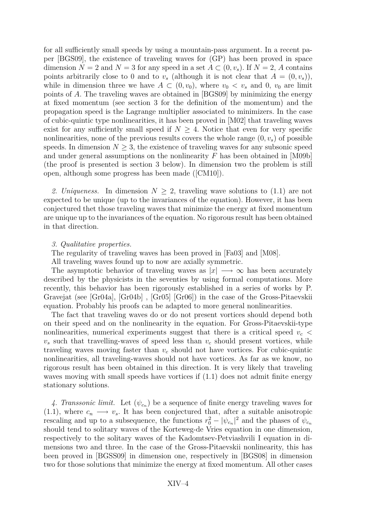for all sufficiently small speeds by using a mountain-pass argument. In a recent paper [\[BGS09\]](#page-19-0), the existence of traveling waves for (GP) has been proved in space dimension  $N = 2$  and  $N = 3$  for any speed in a set  $A \subset (0, v_s)$ . If  $N = 2$ , A contains points arbitrarily close to 0 and to  $v_s$  (although it is not clear that  $A = (0, v_s)$ ), while in dimension three we have  $A \subset (0, v_0)$ , where  $v_0 < v_s$  and 0,  $v_0$  are limit points of *A*. The traveling waves are obtained in [\[BGS09\]](#page-19-0) by minimizing the energy at fixed momentum (see section 3 for the definition of the momentum) and the propagation speed is the Lagrange multiplier associated to minimizers. In the case of cubic-quintic type nonlinearities, it has been proved in [\[M02\]](#page-21-0) that traveling waves exist for any sufficiently small speed if  $N \geq 4$ . Notice that even for very specific nonlinearities, none of the previous results covers the whole range  $(0, v_s)$  of possible speeds. In dimension  $N \geq 3$ , the existence of traveling waves for any subsonic speed and under general assumptions on the nonlinearity *F* has been obtained in [\[M09b\]](#page-21-0) (the proof is presented is section 3 below). In dimension two the problem is still open, although some progress has been made ([\[CM10\]](#page-19-0)).

2. Uniqueness. In dimension  $N \geq 2$ , traveling wave solutions to [\(1.1\)](#page-1-0) are not expected to be unique (up to the invariances of the equation). However, it has been conjectured thet those traveling waves that minimize the energy at fixed momentum are unique up to the invariances of the equation. No rigorous result has been obtained in that direction.

#### *3. Qualitative properties.*

The regularity of traveling waves has been proved in [\[Fa03\]](#page-19-0) and [\[M08\]](#page-21-0).

All traveling waves found up to now are axially symmetric.

The asymptotic behavior of traveling waves as *|x| −→ ∞* has been accurately described by the physicists in the seventies by using formal computations. More recently, this behavior has been rigorously established in a series of works by P. Gravejat (see [\[Gr04a\]](#page-20-0), [\[Gr04b\]](#page-20-0) , [\[Gr05\]](#page-20-0) [\[Gr06\]](#page-20-0)) in the case of the Gross-Pitaevskii equation. Probably his proofs can be adapted to more general nonlinearities.

The fact that traveling waves do or do not present vortices should depend both on their speed and on the nonlinearity in the equation. For Gross-Pitaevskii-type nonlinearities, numerical experiments suggest that there is a critical speed *v<sup>c</sup> <*  $v<sub>s</sub>$  such that travelling-waves of speed less than  $v<sub>c</sub>$  should present vortices, while traveling waves moving faster than *v<sup>c</sup>* should not have vortices. For cubic-quintic nonlinearities, all traveling-waves should not have vortices. As far as we know, no rigorous result has been obtained in this direction. It is very likely that traveling waves moving with small speeds have vortices if  $(1.1)$  does not admit finite energy stationary solutions.

4. Transsonic limit. Let  $(\psi_{c_n})$  be a sequence of finite energy traveling waves for [\(1.1\)](#page-1-0), where  $c_n \longrightarrow v_s$ . It has been conjectured that, after a suitable anisotropic rescaling and up to a subsequence, the functions  $r_0^2 - |\psi_{c_n}|^2$  and the phases of  $\psi_{c_n}$ should tend to solitary waves of the Korteweg-de Vries equation in one dimension, respectively to the solitary waves of the Kadomtsev-Petviashvili I equation in dimensions two and three. In the case of the Gross-Pitaevskii nonlinearity, this has been proved in [\[BGSS09\]](#page-19-0) in dimension one, respectively in [\[BGS08\]](#page-19-0) in dimension two for those solutions that minimize the energy at fixed momentum. All other cases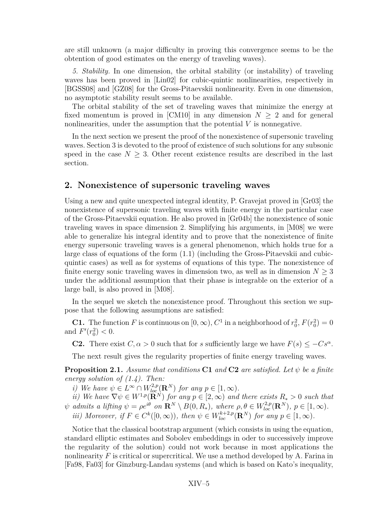<span id="page-5-0"></span>are still unknown (a major difficulty in proving this convergence seems to be the obtention of good estimates on the energy of traveling waves).

*5. Stability.* In one dimension, the orbital stability (or instability) of traveling waves has been proved in [\[Lin02\]](#page-21-0) for cubic-quintic nonlinearities, respectively in [\[BGSS08\]](#page-19-0) and [\[GZ08\]](#page-20-0) for the Gross-Pitaevskii nonlinearity. Even in one dimension, no asymptotic stability result seems to be available.

The orbital stability of the set of traveling waves that minimize the energy at fixed momentum is proved in [\[CM10\]](#page-19-0) in any dimension  $N \geq 2$  and for general nonlinearities, under the assumption that the potential *V* is nonnegative.

In the next section we present the proof of the nonexistence of supersonic traveling waves. Section 3 is devoted to the proof of existence of such solutions for any subsonic speed in the case  $N \geq 3$ . Other recent existence results are described in the last section.

# **2. Nonexistence of supersonic traveling waves**

Using a new and quite unexpected integral identity, P. Gravejat proved in [\[Gr03\]](#page-20-0) the nonexistence of supersonic traveling waves with finite energy in the particular case of the Gross-Pitaevskii equation. He also proved in [\[Gr04b\]](#page-20-0) the nonexistence of sonic traveling waves in space dimension 2. Simplifying his arguments, in [\[M08\]](#page-21-0) we were able to generalize his integral identity and to prove that the nonexistence of finite energy supersonic traveling waves is a general phenomenon, which holds true for a large class of equations of the form [\(1.1\)](#page-1-0) (including the Gross-Pitaevskii and cubicquintic cases) as well as for systems of equations of this type. The nonexistence of finite energy sonic traveling waves in dimension two, as well as in dimension  $N \geq 3$ under the additional assumption that their phase is integrable on the exterior of a large ball, is also proved in [\[M08\]](#page-21-0).

In the sequel we sketch the nonexistence proof. Throughout this section we suppose that the following assumptions are satisfied:

**C1.** The function *F* is continuous on  $[0, \infty)$ ,  $C^1$  in a neighborhood of  $r_0^2$ ,  $F(r_0^2) = 0$ and  $F'(r_0^2) < 0$ .

**C2.** There exist  $C, \alpha > 0$  such that for *s* sufficiently large we have  $F(s) \leq -Cs^{\alpha}$ .

The next result gives the regularity properties of finite energy traveling waves.

**Proposition 2.1.** *Assume that conditions* **C1** *and* **C2** *are satisfied. Let ψ be a finite energy solution of [\(1.4\)](#page-3-0). Then:*

*i)* We have  $\psi \in L^{\infty} \cap W_{loc}^{2,p}(\mathbf{R}^{N})$  for any  $p \in [1, \infty)$ .

*ii)* We have  $\nabla \psi \in W^{1,p}(\mathbf{R}^N)$  for any  $p \in [2,\infty)$  and there exists  $R_* > 0$  such that  $\psi$  admits a lifting  $\psi = \rho e^{i\theta}$  on  $\mathbf{R}^N \setminus B(0, R_*)$ , where  $\rho, \theta \in W_{loc}^{2,p}(\mathbf{R}^N)$ ,  $p \in [1, \infty)$ . *iii)* Moreover, if  $F \in C^k([0,\infty))$ , then  $\psi \in W_{loc}^{k+2,p}(\mathbf{R}^N)$  for any  $p \in [1,\infty)$ .

Notice that the classical bootstrap argument (which consists in using the equation, standard elliptic estimates and Sobolev embeddings in oder to successively improve the regularity of the solution) could not work because in most applications the nonlinearity *F* is critical or supercritical. We use a method developed by A. Farina in [\[Fa98,](#page-19-0) [Fa03\]](#page-19-0) for Ginzburg-Landau systems (and which is based on Kato's inequality,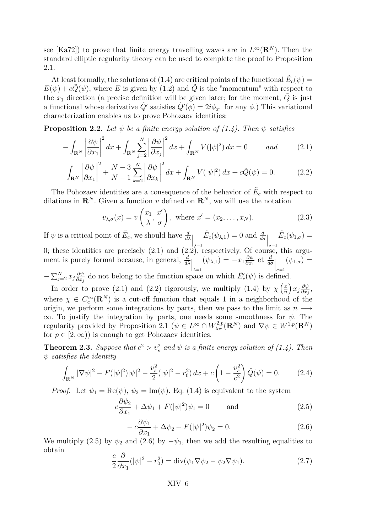<span id="page-6-0"></span>see [\[Ka72\]](#page-21-0)) to prove that finite energy travelling waves are in  $L^{\infty}(\mathbf{R}^{N})$ . Then the standard elliptic regularity theory can be used to complete the proof fo Proposition [2.1.](#page-5-0)

At least formally, the solutions of [\(1.4\)](#page-3-0) are critical points of the functional  $\tilde{E}_c(\psi)$  =  $E(\psi) + c\tilde{Q}(\psi)$ , where *E* is given by [\(1.2\)](#page-2-0) and  $\tilde{Q}$  is the "momentum" with respect to the  $x_1$  direction (a precise definition will be given later; for the moment,  $\tilde{Q}$  is just a functional whose derivative  $\tilde{Q}'$  satisfies  $\tilde{Q}'(\phi) = 2i\phi_{x_1}$  for any  $\phi$ .) This variational characterization enables us to prove Pohozaev identities:

**Proposition 2.2.** Let  $\psi$  be a finite energy solution of [\(1.4\)](#page-3-0). Then  $\psi$  satisfies

$$
-\int_{\mathbf{R}^N} \left| \frac{\partial \psi}{\partial x_1} \right|^2 dx + \int_{\mathbf{R}^N} \sum_{j=2}^N \left| \frac{\partial \psi}{\partial x_j} \right|^2 dx + \int_{\mathbf{R}^N} V(|\psi|^2) dx = 0 \quad and \quad (2.1)
$$

$$
\int_{\mathbf{R}^N} \left| \frac{\partial \psi}{\partial x_1} \right|^2 + \frac{N-3}{N-1} \sum_{k=2}^N \left| \frac{\partial \psi}{\partial x_k} \right|^2 dx + \int_{\mathbf{R}^N} V(|\psi|^2) dx + c \tilde{Q}(\psi) = 0.
$$
 (2.2)

The Pohozaev identities are a consequence of the behavior of  $\tilde{E}_c$  with respect to dilations in  $\mathbb{R}^N$ . Given a function *v* defined on  $\mathbb{R}^N$ , we will use the notation

$$
v_{\lambda,\sigma}(x) = v\left(\frac{x_1}{\lambda}, \frac{x'}{\sigma}\right), \text{ where } x' = (x_2, \dots, x_N). \tag{2.3}
$$

If  $\psi$  is a critical point of  $\tilde{E}_c$ , we should have  $\frac{d}{d\lambda}\Big|_{\lambda=1}$  $\tilde{E}_c(\psi_{\lambda,1}) = 0$  and  $\frac{d}{d\sigma}\Big|_{\sigma=1}$  $\tilde{E}_c(\psi_{1,\sigma}) =$ 0; these identities are precisely (2.1) and (2.2), respectively. Of course, this argument is purely formal because, in general,  $\frac{d}{d\lambda}\Big|_{\lambda=1}$  $(\psi_{\lambda,1}) = -x_1 \frac{\partial \psi}{\partial x_1}$  $\frac{\partial \psi}{\partial x_1}$  et  $\frac{d}{d\sigma}\Big|_{\sigma=1}$  $(\psi_{1,\sigma}) =$  $-\sum_{j=2}^{N} x_j \frac{\partial \psi}{\partial x_j}$  $\frac{\partial \psi}{\partial x_j}$  do not belong to the function space on which  $\tilde{E}'_c(\psi)$  is defined.

In order to prove (2.1) and (2.2) rigorously, we multiply [\(1.4\)](#page-3-0) by  $\chi\left(\frac{x}{n}\right)$ *n*  $\int x_j \frac{\partial \psi}{\partial x_j}$  $\frac{\partial \psi}{\partial x_j}$ where  $\chi \in C_c^{\infty}(\mathbf{R}^N)$  is a cut-off function that equals 1 in a neighborhood of the origin, we perform some integrations by parts, then we pass to the limit as *n −→ ∞*. To justify the integration by parts, one needs some smoothness for *ψ*. The regularity provided by Proposition [2.1](#page-5-0) ( $\psi \in L^{\infty} \cap W_{loc}^{2,p}(\mathbf{R}^N)$  and  $\nabla \psi \in W^{1,p}(\mathbf{R}^N)$ for  $p \in [2, \infty)$ ) is enough to get Pohozaev identities.

**Theorem 2.3.** *Suppose that*  $c^2 > v_s^2$  *and*  $\psi$  *is a finite energy solution of [\(1.4\)](#page-3-0). Then ψ satisfies the identity*

$$
\int_{\mathbf{R}^N} |\nabla \psi|^2 - F(|\psi|^2)|\psi|^2 - \frac{v_s^2}{2}(|\psi|^2 - r_0^2) dx + c \left(1 - \frac{v_s^2}{c^2}\right) \tilde{Q}(\psi) = 0. \tag{2.4}
$$

*Proof.* Let  $\psi_1 = \text{Re}(\psi)$ ,  $\psi_2 = \text{Im}(\psi)$ . Eq. [\(1.4\)](#page-3-0) is equivalent to the system

$$
c\frac{\partial \psi_2}{\partial x_1} + \Delta \psi_1 + F(|\psi|^2)\psi_1 = 0 \quad \text{and} \quad (2.5)
$$

$$
-c\frac{\partial \psi_1}{\partial x_1} + \Delta \psi_2 + F(|\psi|^2)\psi_2 = 0.
$$
\n
$$
(2.6)
$$

We multiply (2.5) by  $\psi_2$  and (2.6) by  $-\psi_1$ , then we add the resulting equalities to obtain

$$
\frac{c}{2}\frac{\partial}{\partial x_1}(|\psi|^2 - r_0^2) = \operatorname{div}(\psi_1 \nabla \psi_2 - \psi_2 \nabla \psi_1). \tag{2.7}
$$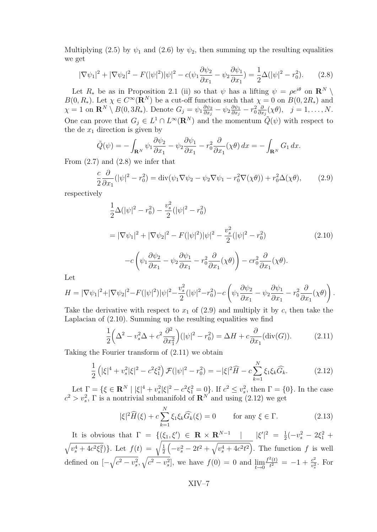<span id="page-7-0"></span>Multiplying [\(2.5\)](#page-6-0) by  $\psi_1$  and [\(2.6\)](#page-6-0) by  $\psi_2$ , then summing up the resulting equalities we get

$$
|\nabla \psi_1|^2 + |\nabla \psi_2|^2 - F(|\psi|^2)|\psi|^2 - c(\psi_1 \frac{\partial \psi_2}{\partial x_1} - \psi_2 \frac{\partial \psi_1}{\partial x_1}) = \frac{1}{2}\Delta(|\psi|^2 - r_0^2). \tag{2.8}
$$

Let  $R_*$  be as in Proposition [2.1](#page-5-0) (ii) so that  $\psi$  has a lifting  $\psi = \rho e^{i\theta}$  on  $\mathbb{R}^N \setminus \mathbb{R}$ *B*(0*, R*<sub>*\**</sub>). Let  $\chi \in C^{\infty}(\mathbb{R}^N)$  be a cut-off function such that  $\chi = 0$  on  $B(0, 2R_*)$  and  $\chi = 1$  on  $\mathbf{R}^N \setminus B(0, 3R_*)$ . Denote  $G_j = \psi_1 \frac{\partial \psi_2}{\partial x_i}$  $\frac{\partial \psi_2}{\partial x_j} - \psi_2 \frac{\partial \psi_1}{\partial x_j}$  $\frac{\partial \psi_1}{\partial x_j} - r_0^2 \frac{\partial}{\partial x_j}$  $\frac{\partial}{\partial x_j}(\chi\theta), \quad j=1,\ldots,N.$ One can prove that  $G_j \in L^1 \cap L^\infty(\mathbf{R}^N)$  and the momentum  $\tilde{Q}(\psi)$  with respect to the de  $x_1$  direction is given by

$$
\tilde{Q}(\psi) = -\int_{\mathbf{R}^N} \psi_1 \frac{\partial \psi_2}{\partial x_1} - \psi_2 \frac{\partial \psi_1}{\partial x_1} - r_0^2 \frac{\partial}{\partial x_1} (\chi \theta) dx = -\int_{\mathbf{R}^N} G_1 dx.
$$

From  $(2.7)$  and  $(2.8)$  we infer that

$$
\frac{c}{2}\frac{\partial}{\partial x_1}(|\psi|^2 - r_0^2) = \operatorname{div}(\psi_1 \nabla \psi_2 - \psi_2 \nabla \psi_1 - r_0^2 \nabla (\chi \theta)) + r_0^2 \Delta(\chi \theta),\tag{2.9}
$$

respectively

$$
\frac{1}{2}\Delta(|\psi|^2 - r_0^2) - \frac{v_s^2}{2}(|\psi|^2 - r_0^2)
$$
\n
$$
= |\nabla \psi_1|^2 + |\nabla \psi_2|^2 - F(|\psi|^2)|\psi|^2 - \frac{v_s^2}{2}(|\psi|^2 - r_0^2)
$$
\n
$$
-c\left(\psi_1 \frac{\partial \psi_2}{\partial x_1} - \psi_2 \frac{\partial \psi_1}{\partial x_1} - r_0^2 \frac{\partial}{\partial x_1}(\chi \theta)\right) - cr_0^2 \frac{\partial}{\partial x_1}(\chi \theta).
$$
\n(2.10)

Let

$$
H = |\nabla \psi_1|^2 + |\nabla \psi_2|^2 - F(|\psi|^2)|\psi|^2 - \frac{v_s^2}{2}(|\psi|^2 - r_0^2) - c\left(\psi_1 \frac{\partial \psi_2}{\partial x_1} - \psi_2 \frac{\partial \psi_1}{\partial x_1} - r_0^2 \frac{\partial}{\partial x_1}(\chi \theta)\right).
$$

Take the derivative with respect to  $x_1$  of  $(2.9)$  and multiply it by  $c$ , then take the Laplacian of (2.10). Summing up the resulting equalities we find

$$
\frac{1}{2}\left(\Delta^2 - v_s^2 \Delta + c^2 \frac{\partial^2}{\partial x_1^2}\right)(|\psi|^2 - r_0^2) = \Delta H + c \frac{\partial}{\partial x_1}(\text{div}(G)).\tag{2.11}
$$

Taking the Fourier transform of (2.11) we obtain

$$
\frac{1}{2}\left(|\xi|^4 + v_s^2|\xi|^2 - c^2\xi_1^2\right)\mathcal{F}(|\psi|^2 - r_0^2) = -|\xi|^2\widehat{H} - c\sum_{k=1}^N\xi_1\xi_k\widehat{G}_k. \tag{2.12}
$$

Let  $\Gamma = \{ \xi \in \mathbf{R}^N \mid |\xi|^4 + v_s^2 |\xi|^2 - c^2 \xi_1^2 = 0 \}.$  If  $c^2 \le v_s^2$ , then  $\Gamma = \{0\}.$  In the case  $c^2 > v_s^2$ ,  $\Gamma$  is a nontrivial submanifold of  $\mathbb{R}^N$  and using (2.12) we get

$$
|\xi|^2 \widehat{H}(\xi) + c \sum_{k=1}^N \xi_1 \xi_k \widehat{G}_k(\xi) = 0 \qquad \text{for any } \xi \in \Gamma. \tag{2.13}
$$

It is obvious that  $\Gamma = \{(\xi_1, \xi') \in \mathbf{R} \times \mathbf{R}^{N-1} \mid |\xi'|^2 = \frac{1}{2}$  $\frac{1}{2}(-v_s^2 - 2\xi_1^2 +$  $\sqrt{v_s^4 + 4c^2 \xi_1^2}$ }*.* Let  $f(t) = \sqrt{\frac{1}{2}}$ 2  $\left(-v_s^2 - 2t^2 + \sqrt{v_s^4 + 4c^2t^2}\right)$ . The function *f* is well defined on  $[-\sqrt{c^2 - v_s^2}, \sqrt{c^2 - v_s^2}]$ , we have  $f(0) = 0$  and  $\lim_{t \to 0}$  $f^2(t)$  $\frac{c^2(t)}{t^2} = -1 + \frac{c^2}{v_s^2}$  $\frac{c^2}{v_s^2}$ . For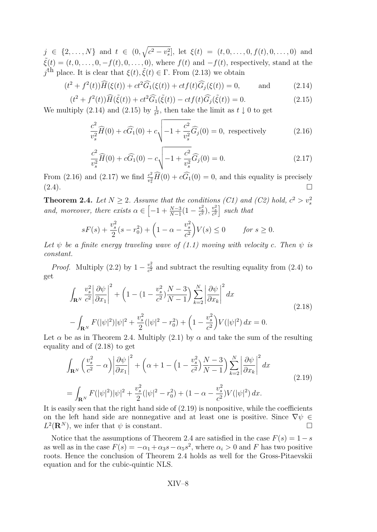$j \in \{2,\ldots,N\}$  and  $t \in (0,\sqrt{c^2-v_s^2}]$ , let  $\xi(t) = (t,0,\ldots,0,f(t),0,\ldots,0)$  and  $\tilde{\xi}(t) = (t, 0, \ldots, 0, -f(t), 0, \ldots, 0)$ , where  $f(t)$  and  $-f(t)$ , respectively, stand at the *j*<sup>th</sup> place. It is clear that *ξ*(*t*)*,*  $\tilde{ξ}(t) ∈ Γ$ . From [\(2.13\)](#page-7-0) we obtain

$$
(t2 + f2(t))\widehat{H}(\xi(t)) + ct2\widehat{G}_1(\xi(t)) + ctf(t)\widehat{G}_j(\xi(t)) = 0, \quad \text{and} \quad (2.14)
$$

$$
(t^{2} + f^{2}(t))\widehat{H}(\tilde{\xi}(t)) + ct^{2}\widehat{G}_{1}(\tilde{\xi}(t)) - ctf(t)\widehat{G}_{j}(\tilde{\xi}(t)) = 0.
$$
\n(2.15)

We multiply (2.14) and (2.15) by  $\frac{1}{t^2}$ , then take the limit as  $t \downarrow 0$  to get

$$
\frac{c^2}{v_s^2} \widehat{H}(0) + c \widehat{G}_1(0) + c \sqrt{-1 + \frac{c^2}{v_s^2}} \widehat{G}_j(0) = 0, \text{ respectively}
$$
 (2.16)

$$
\frac{c^2}{v_s^2} \widehat{H}(0) + c \widehat{G}_1(0) - c \sqrt{-1 + \frac{c^2}{v_s^2}} \widehat{G}_j(0) = 0.
$$
 (2.17)

From (2.16) and (2.17) we find  $\frac{c^2}{n^2}$  $\frac{c^2}{v_s^2}H(0) + cG_1(0) = 0$ , and this equality is precisely  $(2.4)$ .

**Theorem 2.4.** *Let*  $N \geq 2$ *. Assume that the conditions (C1) and (C2) hold,*  $c^2 > v_s^2$ *and, moreover, there exists*  $\alpha \in \left[ -1 + \frac{N-3}{N-1} (1 - \frac{v_s^2}{c^2}), \frac{v_s^2}{c^2} \right]$  such that

$$
sF(s) + \frac{v_s^2}{2}(s - r_0^2) + \left(1 - \alpha - \frac{v_s^2}{c^2}\right)V(s) \le 0 \qquad \text{for } s \ge 0.
$$

*Let*  $\psi$  *be a finite energy traveling wave of [\(1.1\)](#page-1-0) moving with velocity c. Then*  $\psi$  *is constant.*

*Proof.* Multiply [\(2.2\)](#page-6-0) by  $1 - \frac{v_s^2}{c^2}$  and subtract the resulting equality from [\(2.4\)](#page-6-0) to get

$$
\int_{\mathbf{R}^N} \frac{v_s^2}{c^2} \left| \frac{\partial \psi}{\partial x_1} \right|^2 + \left( 1 - (1 - \frac{v_s^2}{c^2}) \frac{N - 3}{N - 1} \right) \sum_{k=2}^N \left| \frac{\partial \psi}{\partial x_k} \right|^2 dx
$$
\n
$$
- \int_{\mathbf{R}^N} F(|\psi|^2) |\psi|^2 + \frac{v_s^2}{2} (|\psi|^2 - r_0^2) + \left( 1 - \frac{v_s^2}{c^2} \right) V(|\psi|^2) dx = 0.
$$
\n(2.18)

Let  $\alpha$  be as in Theorem 2.4. Multiply [\(2.1\)](#page-6-0) by  $\alpha$  and take the sum of the resulting equality and of (2.18) to get

$$
\int_{\mathbf{R}^N} \left(\frac{v_s^2}{c^2} - \alpha\right) \left|\frac{\partial \psi}{\partial x_1}\right|^2 + \left(\alpha + 1 - \left(1 - \frac{v_s^2}{c^2}\right) \frac{N - 3}{N - 1}\right) \sum_{k=2}^N \left|\frac{\partial \psi}{\partial x_k}\right|^2 dx
$$
\n
$$
= \int_{\mathbf{R}^N} F(|\psi|^2) |\psi|^2 + \frac{v_s^2}{2} (|\psi|^2 - r_0^2) + (1 - \alpha - \frac{v_s^2}{c^2}) V(|\psi|^2) dx.
$$
\n(2.19)

It is easily seen that the right hand side of  $(2.19)$  is nonpositive, while the coefficients on the left hand side are nonnegative and at least one is positive. Since  $\nabla \psi \in$  $L^2(\mathbf{R}^N)$ , we infer that  $\psi$  is constant.

Notice that the assumptions of Theorem 2.4 are satisfied in the case  $F(s) = 1 - s$ as well as in the case  $F(s) = -\alpha_1 + \alpha_3 s - \alpha_5 s^2$ , where  $\alpha_i > 0$  and *F* has two positive roots. Hence the conclusion of Theorem 2.4 holds as well for the Gross-Pitaevskii equation and for the cubic-quintic NLS.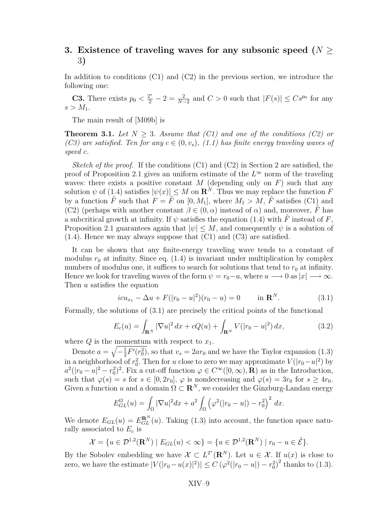# <span id="page-9-0"></span>**3. Existence of traveling waves for any subsonic speed (***N ≥* 3**)**

In addition to conditions (C1) and (C2) in the previous section, we introduce the following one:

**C3.** There exists  $p_0 < \frac{2^*}{2} - 2 = \frac{2}{N-2}$  and  $C > 0$  such that  $|F(s)| \leq Cs^{p_0}$  for any  $s > M_1$ .

The main result of [\[M09b\]](#page-21-0) is

**Theorem 3.1.** *Let*  $N \geq 3$ *. Assume that (C1) and one of the conditions (C2) or (C3)* are satisfied. Ten for any  $c \in (0, v_s)$ , [\(1.1\)](#page-1-0) has finite energy traveling waves of *speed c.*

*Sketch of the proof.* If the conditions (C1) and (C2) in Section 2 are satisfied, the proof of Proposition [2.1](#page-5-0) gives an uniform estimate of the  $L^{\infty}$  norm of the traveling waves: there exists a positive constant  $M$  (depending only on  $F$ ) such that any solution  $\psi$  of [\(1.4\)](#page-3-0) satisfies  $|\psi(x)| \leq M$  on  $\mathbb{R}^N$ . Thus we may replace the function  $\tilde{F}$ by a function  $\tilde{F}$  such that  $F = \tilde{F}$  on [0, M<sub>1</sub>], where  $M_1 > M$ ,  $\tilde{F}$  satisfies (C1) and (C2) (perhaps with another constant  $\beta \in (0, \alpha)$  instead of  $\alpha$ ) and, moreover, *F* has a subcritical growth at infinity. If  $\psi$  satisfies the equation [\(1.4\)](#page-3-0) with  $\tilde{F}$  instead of *F*, Proposition [2.1](#page-5-0) guarantees again that  $|\psi| \leq M$ , and consequently  $\psi$  is a solution of [\(1.4\)](#page-3-0). Hence we may always suppose that (C1) and (C3) are satisfied.

It can be shown that any finite-energy traveling wave tends to a constant of modulus  $r_0$  at infinity. Since eq.  $(1.4)$  is invariant under multiplication by complex numbers of modulus one, it suffices to search for solutions that tend to  $r_0$  at infinity. Hence we look for traveling waves of the form  $\psi = r_0 - u$ , where  $u \longrightarrow 0$  as  $|x| \longrightarrow \infty$ . Then *u* satisfies the equation

$$
icu_{x_1} - \Delta u + F(|r_0 - u|^2)(r_0 - u) = 0 \quad \text{in } \mathbf{R}^N. \tag{3.1}
$$

Formally, the solutions of (3.1) are precisely the critical points of the functional

$$
E_c(u) = \int_{\mathbf{R}^N} |\nabla u|^2 dx + cQ(u) + \int_{\mathbf{R}^N} V(|r_0 - u|^2) dx,
$$
 (3.2)

where  $Q$  is the momentum with respect to  $x_1$ .

Denote  $a = \sqrt{-\frac{1}{2}}$  $\frac{1}{2}F'(r_0^2)$ , so that  $v_s = 2ar_0$  and we have the Taylor expansion [\(1.3\)](#page-2-0) in a neighborhood of  $r_0^2$ . Then for *u* close to zero we may approximate  $V(|r_0-u|^2)$  by  $a^2(|r_0 - u|^2 - r_0^2)^2$ . Fix a cut-off function  $\varphi \in C^\infty([0, \infty), \mathbf{R})$  as in the Introduction, such that  $\varphi(s) = s$  for  $s \in [0, 2r_0], \varphi$  is nondecreasing and  $\varphi(s) = 3r_0$  for  $s \geq 4r_0$ . Given a function *u* and a domain  $\Omega \subset \mathbb{R}^N$ , we consider the Ginzburg-Landau energy

$$
E_{GL}^{\Omega}(u) = \int_{\Omega} |\nabla u|^2 dx + a^2 \int_{\Omega} (\varphi^2(|r_0 - u|) - r_0^2)^2 dx.
$$

We denote  $E_{GL}(u) = E_{GL}^{R^N}(u)$ . Taking [\(1.3\)](#page-2-0) into account, the function space naturally associated to *E<sup>c</sup>* is

$$
\mathcal{X} = \{ u \in \mathcal{D}^{1,2}(\mathbf{R}^N) \mid E_{GL}(u) < \infty \} = \{ u \in \mathcal{D}^{1,2}(\mathbf{R}^N) \mid r_0 - u \in \tilde{\mathcal{E}} \}.
$$

By the Sobolev embedding we have  $\mathcal{X} \subset L^{2^*}(\mathbb{R}^N)$ . Let  $u \in \mathcal{X}$ . If  $u(x)$  is close to zero, we have the estimate  $|V(|r_0 - u(x)|^2)| \le C (\varphi^2(|r_0 - u|) - r_0^2)^2$  thanks to [\(1.3\)](#page-2-0).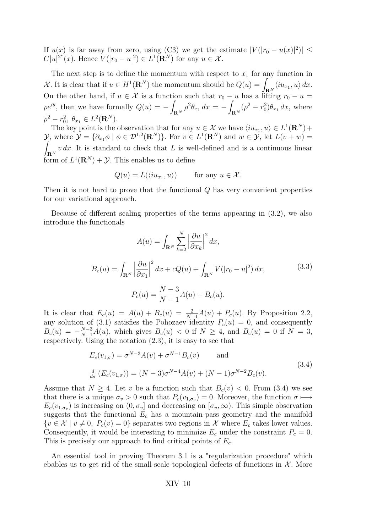<span id="page-10-0"></span>If  $u(x)$  is far away from zero, using (C3) we get the estimate  $|V(|r_0 - u(x)|^2)| \le$  $C|u|^{2^*}(x)$ . Hence  $V(|r_0 - u|^2) \in L^1(\mathbf{R}^N)$  for any  $u \in \mathcal{X}$ .

The next step is to define the momentum with respect to  $x_1$  for any function in *X*. It is clear that if  $u \in H^1(\mathbf{R}^N)$  the momentum should be  $Q(u) = \int_{\mathbf{R}^N} \langle i u_{x_1}, u \rangle dx$ . On the other hand, if  $u \in \mathcal{X}$  is a function such that  $r_0 - u$  has a lifting  $r_0 - u =$  $\rho e^{i\theta}$ , then we have formally  $Q(u) = \int_{\mathbf{R}^N}\rho^2\theta_{x_1}\,dx = -\int$  $\int_{\mathbf{R}^N} (\rho^2 - r_0^2) \theta_{x_1} dx$ , where  $\rho^2 - r_0^2$ ,  $\theta_{x_1} \in L^2(\mathbf{R}^N)$ .

The key point is the observation that for any  $u \in \mathcal{X}$  we have  $\langle i u_{x_1}, u \rangle \in L^1(\mathbf{R}^N)$ +  $\mathcal{Y}$ , where  $\mathcal{Y} = \{ \partial_{x_1} \phi \mid \phi \in \mathcal{D}^{1,2}(\mathbf{R}^N) \}$ . For  $v \in L^1(\mathbf{R}^N)$  and  $w \in \mathcal{Y}$ , let  $L(v+w)$ Z  $\int_{\mathbf{R}^N} v \, dx$ . It is standard to check that *L* is well-defined and is a continuous linear form of  $L^1(\mathbf{R}^N) + \mathcal{Y}$ . This enables us to define

$$
Q(u) = L(\langle i u_{x_1}, u \rangle) \quad \text{for any } u \in \mathcal{X}.
$$

Then it is not hard to prove that the functional *Q* has very convenient properties for our variational approach.

Because of different scaling properties of the terms appearing in [\(3.2\)](#page-9-0), we also introduce the functionals

$$
A(u) = \int_{\mathbf{R}^N} \sum_{k=2}^N \left| \frac{\partial u}{\partial x_k} \right|^2 dx,
$$
  
\n
$$
B_c(u) = \int_{\mathbf{R}^N} \left| \frac{\partial u}{\partial x_1} \right|^2 dx + cQ(u) + \int_{\mathbf{R}^N} V(|r_0 - u|^2) dx,
$$
\n
$$
P_c(u) = \frac{N-3}{N-1} A(u) + B_c(u).
$$
\n(3.3)

It is clear that  $E_c(u) = A(u) + B_c(u) = \frac{2}{N-1}A(u) + P_c(u)$ . By Proposition [2.2,](#page-6-0) any solution of [\(3.1\)](#page-9-0) satisfies the Pohozaev identity  $P_c(u) = 0$ , and consequently  $B_c(u) = -\frac{N-3}{N-1}A(u)$ , which gives  $B_c(u) < 0$  if  $N \ge 4$ , and  $B_c(u) = 0$  if  $N = 3$ , respectively. Using the notation [\(2.3\)](#page-6-0), it is easy to see that

$$
E_c(v_{1,\sigma}) = \sigma^{N-3} A(v) + \sigma^{N-1} B_c(v) \quad \text{and}
$$
  

$$
\frac{d}{d\sigma} (E_c(v_{1,\sigma})) = (N-3)\sigma^{N-4} A(v) + (N-1)\sigma^{N-2} B_c(v).
$$
 (3.4)

Assume that  $N \geq 4$ . Let *v* be a function such that  $B_c(v) < 0$ . From (3.4) we see that there is a unique  $\sigma_v > 0$  such that  $P_c(v_{1,\sigma_v}) = 0$ . Moreover, the function  $\sigma \mapsto$  $E_c(v_{1,\sigma_v})$  is increasing on  $(0, \sigma_v]$  and decreasing on  $[\sigma_v, \infty)$ . This simple observation suggests that the functional  $E_c$  has a mountain-pass geometry and the manifold  ${v \in \mathcal{X} \mid v \neq 0, P_c(v) = 0}$  separates two regions in *X* where  $E_c$  takes lower values. Consequently, it would be interesting to minimize  $E_c$  under the constraint  $P_c = 0$ . This is precisely our approach to find critical points of *Ec*.

An essential tool in proving Theorem [3.1](#page-9-0) is a "regularization procedure" which ebables us to get rid of the small-scale topological defects of functions in  $\mathcal{X}$ . More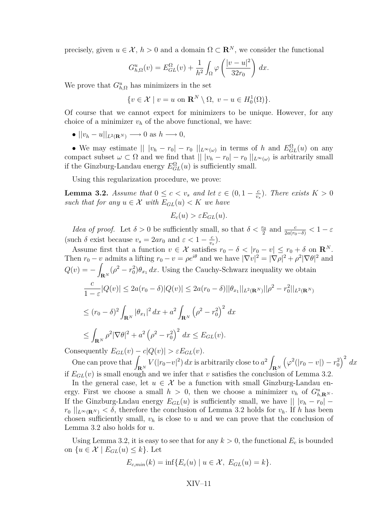<span id="page-11-0"></span>precisely, given  $u \in \mathcal{X}$ ,  $h > 0$  and a domain  $\Omega \subset \mathbb{R}^N$ , we consider the functional

$$
G_{h,\Omega}^u(v) = E_{GL}^{\Omega}(v) + \frac{1}{h^2} \int_{\Omega} \varphi\left(\frac{|v-u|^2}{32r_0}\right) dx.
$$

We prove that  $G_{h,\Omega}^u$  has minimizers in the set

$$
\{v \in \mathcal{X} \mid v = u \text{ on } \mathbf{R}^N \setminus \Omega, \ v - u \in H_0^1(\Omega) \}.
$$

Of course that we cannot expect for minimizers to be unique. However, for any choice of a minimizer  $v_h$  of the above functional, we have:

 $\bullet$   $||v_h - u||_{L^2(\mathbf{R}^N)} \longrightarrow 0$  as  $h \longrightarrow 0$ ,

• We may estimate  $|| |v_h - r_0| - r_0 ||_{L^{\infty}(\omega)}$  in terms of *h* and  $E_{GL}^{\Omega}(u)$  on any compact subset  $\omega \subset \Omega$  and we find that  $|| |v_h - r_0| - r_0 ||_{L^{\infty}(\omega)}$  is arbitrarily small if the Ginzburg-Landau energy  $E_{GL}^{\Omega}(u)$  is sufficiently small.

Using this regularization procedure, we prove:

**Lemma 3.2.** *Assume that*  $0 \leq c < v_s$  *and let*  $\varepsilon \in (0, 1 - \frac{c}{v_s})$  $\frac{c}{v_s}$ ). There exists  $K > 0$ *such that for any*  $u \in \mathcal{X}$  *with*  $E_{GL}(u) < K$  *we have* 

$$
E_c(u) > \varepsilon E_{GL}(u).
$$

*Idea of proof.* Let  $\delta > 0$  be sufficiently small, so that  $\delta < \frac{r_0}{2}$  and  $\frac{c}{2a(r_0-\delta)} < 1-\varepsilon$ (such  $\delta$  exist because  $v_s = 2ar_0$  and  $\varepsilon < 1 - \frac{c}{v_s}$  $\frac{c}{v_s}$ ).

Assume first that a function  $v \in \mathcal{X}$  satisfies  $r_0 - \delta < |r_0 - v| \le r_0 + \delta$  on  $\mathbb{R}^N$ . Then  $r_0 - v$  admits a lifting  $r_0 - v = \rho e^{i\theta}$  and we have  $|\nabla v|^2 = |\nabla \rho|^2 + \rho^2 |\nabla \theta|^2$  and  $Q(v) = -1$  $\int_{\mathbf{R}^N} (\rho^2 - r_0^2) \theta_{x_1} dx$ . Using the Cauchy-Schwarz inequality we obtain *c*  $\frac{c}{1-\varepsilon}|Q(v)| \leq 2a(r_0-\delta)|Q(v)| \leq 2a(r_0-\delta)||\theta_{x_1}||_{L^2(\mathbf{R}^N)}||\rho^2 - r_0^2||_{L^2(\mathbf{R}^N)}$  $≤$   $(r_0 - δ)^2$  $\int_{{\bf R}^N} |\theta_{x_1}|^2 \, dx + a^2 \int$ **R***<sup>N</sup>*  $(\rho^2 - r_0^2)^2 dx$ *≤* Z  $\int_{\mathbf{R}^N} \rho^2 |\nabla \theta|^2 + a^2 \left( \rho^2 - r_0^2 \right)^2 dx \le E_{GL}(v).$ 

Consequently  $E_{GL}(v) - c|Q(v)| > \varepsilon E_{GL}(v)$ .

One can prove that  $\int_{\mathbf{R}^N} V(|r_0 - v|^2) dx$  is arbitrarily close to  $a^2 \int$ **R***<sup>N</sup>*  $(\varphi^2(|r_0 - v|) - r_0^2)^2 dx$ if  $E_{GL}(v)$  is small enough and we infer that *v* satisfies the conclusion of Lemma 3.2.

In the general case, let  $u \in \mathcal{X}$  be a function with small Ginzburg-Landau energy. First we choose a small  $h > 0$ , then we choose a minimizer  $v_h$  of  $G_{h,\mathbf{R}^N}^u$ . If the Ginzburg-Lndau energy  $E_{GL}(u)$  is sufficiently small, we have  $|| |v_h - r_0|$  –  $r_0$   $||_{L^\infty(\mathbf{R}^N)} < \delta$ , therefore the conclusion of Lemma 3.2 holds for  $v_h$ . If *h* has been chosen sufficiently small,  $v_h$  is close to  $u$  and we can prove that the conclusion of Lemma 3.2 also holds for *u*.

Using Lemma 3.2, it is easy to see that for any  $k > 0$ , the functional  $E_c$  is bounded on  $\{u \in \mathcal{X} \mid E_{GL}(u) \leq k\}$ . Let

$$
E_{c,min}(k) = \inf\{E_c(u) \mid u \in \mathcal{X}, E_{GL}(u) = k\}.
$$

$$
XIV-11
$$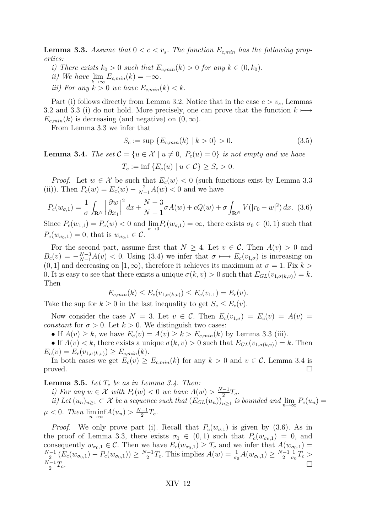<span id="page-12-0"></span>**Lemma 3.3.** *Assume that*  $0 < c < v_s$ . *The function*  $E_{c,min}$  *has the following properties:*

- *i*) There exists  $k_0 > 0$  such that  $E_{c,min}(k) > 0$  for any  $k \in (0, k_0)$ .
- *ii*) We have  $\lim_{n \to \infty} E_{c,min}(k) = -\infty$ .
- *iii)* For any  $k > 0$  *we have*  $E_{c,min}(k) < k$ .

Part (i) follows directly from Lemma [3.2.](#page-11-0) Notice that in the case  $c > v_s$ , Lemmas [3.2](#page-11-0) and [3.3](#page-11-0) (i) do not hold. More precisely, one can prove that the function *k 7−→*  $E_{c,min}(k)$  is decreasing (and negative) on  $(0, \infty)$ .

From Lemma [3.3](#page-11-0) we infer that

$$
S_c := \sup \{ E_{c,min}(k) \mid k > 0 \} > 0. \tag{3.5}
$$

**Lemma 3.4.** *The set*  $\mathcal{C} = \{u \in \mathcal{X} \mid u \neq 0, P_c(u) = 0\}$  *is not empty and we have*  $T_c := \inf \{ E_c(u) \mid u \in C \} \geq S_c > 0.$ 

*Proof.* Let  $w \in \mathcal{X}$  be such that  $E_c(w) < 0$  (such functions exist by Lemma [3.3](#page-11-0) (ii)). Then  $P_c(w) = E_c(w) - \frac{2}{N-1}A(w) < 0$  and we have

$$
P_c(w_{\sigma,1}) = \frac{1}{\sigma} \int_{\mathbf{R}^N} \left| \frac{\partial w}{\partial x_1} \right|^2 dx + \frac{N-3}{N-1} \sigma A(w) + cQ(w) + \sigma \int_{\mathbf{R}^N} V(|r_0 - w|^2) dx. \tag{3.6}
$$

Since  $P_c(w_{1,1}) = P_c(w) < 0$  and  $\lim_{\sigma \to 0} P_c(w_{\sigma,1}) = \infty$ , there exists  $\sigma_0 \in (0,1)$  such that  $P_c(w_{\sigma_0,1}) = 0$ , that is  $w_{\sigma_0,1} \in \mathcal{C}$ .

For the second part, assume first that  $N \geq 4$ . Let  $v \in C$ . Then  $A(v) > 0$  and  $B_c(v) = -\frac{N-3}{N-1}A(v) < 0$ . Using [\(3.4\)](#page-10-0) we infer that  $\sigma \mapsto E_c(v_{1,\sigma})$  is increasing on  $(0, 1]$  and decreasing on  $(1, \infty)$ , therefore it achieves its maximum at  $\sigma = 1$ . Fix  $k >$ 0. It is easy to see that there exists a unique  $\sigma(k, v) > 0$  such that  $E_{GL}(v_{1, \sigma(k, v)}) = k$ . Then

$$
E_{c,min}(k) \le E_c(v_{1,\sigma(k,v)}) \le E_c(v_{1,1}) = E_c(v).
$$

Take the sup for  $k \geq 0$  in the last inequality to get  $S_c \leq E_c(v)$ .

Now consider the case  $N = 3$ . Let  $v \in C$ . Then  $E_c(v_{1,\sigma}) = E_c(v) = A(v)$ *constant* for  $\sigma > 0$ . Let  $k > 0$ . We distinguish two cases:

• If  $A(v) \geq k$ , we have  $E_c(v) = A(v) \geq k > E_{c,min}(k)$  by Lemma [3.3](#page-11-0) (iii).

• If  $A(v) < k$ , there exists a unique  $\sigma(k, v) > 0$  such that  $E_{GL}(v_{1,\sigma(k,v)}) = k$ . Then  $E_c(v) = E_c(v_{1,\sigma(k,v)}) \geq E_{c,min}(k).$ 

In both cases we get  $E_c(v) \ge E_{c,min}(k)$  for any  $k > 0$  and  $v \in C$ . Lemma 3.4 is proved.  $\Box$ 

**Lemma 3.5.** *Let T<sup>c</sup> be as in Lemma 3.4. Then:*

*i)* For any  $w \in \mathcal{X}$  with  $P_c(w) < 0$  we have  $A(w) > \frac{N-1}{2}$  $\frac{-1}{2}T_c$ .

ii) Let  $(u_n)_{n\geq 1} \subset \mathcal{X}$  be a sequence such that  $(E_{GL}(u_n))_{n\geq 1}$  is bounded and  $\lim_{n\to\infty} P_c(u_n) =$  $\mu < 0$ *. Then*  $\liminf_{n \to \infty} A(u_n) > \frac{N-1}{2}$  $\frac{-1}{2}T_c$ .

*Proof.* We only prove part (i). Recall that  $P_c(w_{\sigma,1})$  is given by (3.6). As in the proof of Lemma [3.3,](#page-11-0) there exists  $\sigma_0 \in (0,1)$  such that  $P_c(w_{\sigma_0,1}) = 0$ , and consequently  $w_{\sigma_0,1} \in \mathcal{C}$ . Then we have  $E_c(w_{\sigma_0,1}) \geq T_c$  and we infer that  $A(w_{\sigma_0,1}) =$ *N−*1  $\frac{(-1)}{2} (E_c(w_{\sigma_0,1}) - P_c(w_{\sigma_0,1})) \geq \frac{N-1}{2}$  $\frac{1}{2}T_c$ . This implies  $A(w) = \frac{1}{\sigma_0}A(w_{\sigma_0,1}) \ge \frac{N-1}{2}$ 2 1  $\frac{1}{\sigma_0}T_c$  > *N−*1  $\frac{-1}{2}T_c$ .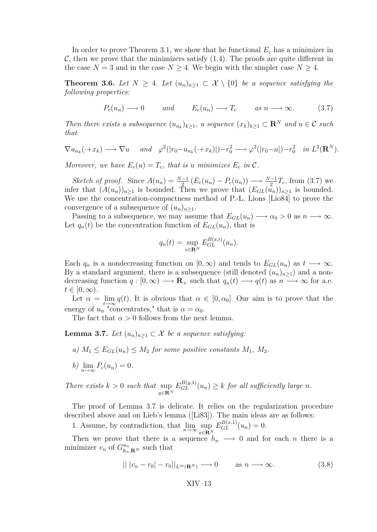<span id="page-13-0"></span>In order to prove Theorem [3.1,](#page-9-0) we show that he functional  $E_c$  has a minimizer in  $\mathcal{C}$ , then we prove that the minimizers satisfy  $(1.4)$ . The proofs are quite different in the case  $N = 3$  and in the case  $N \geq 4$ . We begin with the simpler case  $N \geq 4$ .

**Theorem 3.6.** Let  $N \geq 4$ . Let  $(u_n)_{n \geq 1} \subset \mathcal{X} \setminus \{0\}$  be a sequence satisfying the *following properties:*

$$
P_c(u_n) \longrightarrow 0
$$
 and  $E_c(u_n) \longrightarrow T_c$  as  $n \longrightarrow \infty$ . (3.7)

*Then there exists a subsequence*  $(u_{n_k})_{k\geq 1}$ *, a sequence*  $(x_k)_{k\geq 1} \subset \mathbb{R}^N$  *and*  $u \in \mathcal{C}$  *such that*

$$
\nabla u_{n_k}(\cdot + x_k) \longrightarrow \nabla u \quad \text{and} \quad \varphi^2(|r_0 - u_{n_k}(\cdot + x_k)|) - r_0^2 \longrightarrow \varphi^2(|r_0 - u|) - r_0^2 \quad \text{in } L^2(\mathbf{R}^N).
$$

*Moreover, we have*  $E_c(u) = T_c$ *, that is a minimizes*  $E_c$  *in*  $\mathcal{C}$ *.* 

Sketch of proof. Since  $A(u_n) = \frac{N-1}{2} (E_c(u_n) - P_c(u_n)) \longrightarrow \frac{N-1}{2} T_c$ , from (3.7) we infer that  $(A(u_n))_{n\geq 1}$  is bounded. Then we prove that  $(E_{GL}(u_n))_{n\geq 1}$  is bounded. We use the concentration-compactness method of P.-L. Lions [\[Lio84\]](#page-21-0) to prove the convergence of a subsequence of  $(u_n)_{n\geq 1}$ .

Passing to a subsequence, we may assume that  $E_{GL}(u_n) \longrightarrow \alpha_0 > 0$  as  $n \longrightarrow \infty$ . Let  $q_n(t)$  be the concentration function of  $E_{GL}(u_n)$ , that is

$$
q_n(t) = \sup_{x \in \mathbf{R}^N} E_{GL}^{B(x,t)}(u_n).
$$

Each  $q_n$  is a nondecreasing function on  $[0, \infty)$  and tends to  $E_{GL}(u_n)$  as  $t \longrightarrow \infty$ . By a standard argument, there is a subsequence (still denoted  $(u_n)_{n\geq 1}$ ) and a nondecreasing function  $q : [0, \infty) \longrightarrow \mathbf{R}_+$  such that  $q_n(t) \longrightarrow q(t)$  as  $n \longrightarrow \infty$  for a.e.  $t \in [0, \infty)$ .

Let  $\alpha = \lim_{t \to \infty} q(t)$ . It is obvious that  $\alpha \in [0, \alpha_0]$ . Our aim is to prove that the energy of  $u_n$  "concentrates," that is  $\alpha = \alpha_0$ .

The fact that  $\alpha > 0$  follows from the next lemma.

**Lemma 3.7.** *Let*  $(u_n)_{n\geq 1}$  ⊂ *X be a sequence satisfying:* 

*a)*  $M_1 \leq E_{GL}(u_n) \leq M_2$  for some positive constants  $M_1$ ,  $M_2$ .

$$
b) \lim_{n \to \infty} P_c(u_n) = 0.
$$

*There exists*  $k > 0$  *such that* sup *y∈***R***<sup>N</sup>*  $E_{GL}^{B(y,1)}(u_n) \geq k$  *for all sufficiently large n.* 

The proof of Lemma 3.7 is delicate. It relies on the regularization procedure described above and on Lieb's lemma ([\[Li83\]](#page-21-0)). The main ideas are as follows:

1. Assume, by contradiction, that  $\lim_{n\to\infty} \sup_{n\in\mathbb{R}^n}$ *x∈***R***<sup>N</sup>*  $E_{GL}^{B(x,1)}(u_n) = 0.$ 

Then we prove that there is a sequence  $h_n \longrightarrow 0$  and for each *n* there is a minimizer  $v_n$  of  $G_{h_n,\mathbf{R}^N}^{u_n}$  such that

$$
|| |v_n - r_0| - r_0||_{L^{\infty}(\mathbf{R}^N)} \longrightarrow 0 \quad \text{as } n \longrightarrow \infty. \tag{3.8}
$$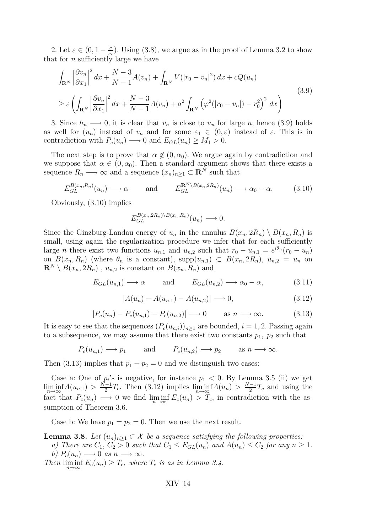<span id="page-14-0"></span>2. Let  $\varepsilon \in (0, 1 - \frac{c}{n})$  $\frac{c}{v_s}$ ). Using [\(3.8\)](#page-13-0), we argue as in the proof of Lemma [3.2](#page-11-0) to show that for *n* sufficiently large we have

$$
\int_{\mathbf{R}^N} \left| \frac{\partial v_n}{\partial x_1} \right|^2 dx + \frac{N-3}{N-1} A(v_n) + \int_{\mathbf{R}^N} V(|r_0 - v_n|^2) dx + cQ(u_n)
$$
\n
$$
\geq \varepsilon \left( \int_{\mathbf{R}^N} \left| \frac{\partial v_n}{\partial x_1} \right|^2 dx + \frac{N-3}{N-1} A(v_n) + a^2 \int_{\mathbf{R}^N} \left( \varphi^2(|r_0 - v_n|) - r_0^2 \right)^2 dx \right)
$$
\n(3.9)

3. Since  $h_n \longrightarrow 0$ , it is clear that  $v_n$  is close to  $u_n$  for large *n*, hence (3.9) holds as well for  $(u_n)$  instead of  $v_n$  and for some  $\varepsilon_1 \in (0,\varepsilon)$  instead of  $\varepsilon$ . This is in contradiction with  $P_c(u_n) \longrightarrow 0$  and  $E_{GL}(u_n) \geq M_1 > 0$ .

The next step is to prove that  $\alpha \notin (0, \alpha_0)$ . We argue again by contradiction and we suppose that  $\alpha \in (0, \alpha_0)$ . Then a standard argument shows that there exists a sequence  $R_n \longrightarrow \infty$  and a sequence  $(x_n)_{n \geq 1} \subset \mathbb{R}^N$  such that

$$
E_{GL}^{B(x_n,R_n)}(u_n) \longrightarrow \alpha \quad \text{and} \quad E_{GL}^{\mathbf{R}^N \setminus B(x_n,2R_n)}(u_n) \longrightarrow \alpha_0 - \alpha. \quad (3.10)
$$

Obviously, (3.10) implies

$$
E_{GL}^{B(x_n, 2R_n)\setminus B(x_n, R_n)}(u_n) \longrightarrow 0.
$$

Since the Ginzburg-Landau energy of  $u_n$  in the annulus  $B(x_n, 2R_n) \setminus B(x_n, R_n)$  is small, using again the regularization procedure we infer that for each sufficiently large *n* there exist two functions  $u_{n,1}$  and  $u_{n,2}$  such that  $r_0 - u_{n,1} = e^{i\theta_n}(r_0 - u_n)$ on  $B(x_n, R_n)$  (where  $\theta_n$  is a constant), supp $(u_{n,1}) \subset B(x_n, 2R_n)$ ,  $u_{n,2} = u_n$  on  $\mathbf{R}^N \setminus B(x_n, 2R_n)$ ,  $u_{n,2}$  is constant on  $B(x_n, R_n)$  and

$$
E_{GL}(u_{n,1}) \longrightarrow \alpha
$$
 and  $E_{GL}(u_{n,2}) \longrightarrow \alpha_0 - \alpha,$  (3.11)

$$
|A(u_n) - A(u_{n,1}) - A(u_{n,2})| \to 0,
$$
\n(3.12)

$$
|P_c(u_n) - P_c(u_{n,1}) - P_c(u_{n,2})| \longrightarrow 0 \quad \text{as } n \longrightarrow \infty. \tag{3.13}
$$

It is easy to see that the sequences  $(P_c(u_{n,i}))_{n>1}$  are bounded,  $i = 1, 2$ . Passing again to a subsequence, we may assume that there exist two constants  $p_1$ ,  $p_2$  such that

$$
P_c(u_{n,1}) \longrightarrow p_1
$$
 and  $P_c(u_{n,2}) \longrightarrow p_2$  as  $n \longrightarrow \infty$ .

Then (3.13) implies that  $p_1 + p_2 = 0$  and we distinguish two cases:

Case a: One of  $p_i$ 's is negative, for instance  $p_1 < 0$ . By Lemma [3.5](#page-12-0) (ii) we get  $\liminf_{n\to\infty} A(u_{n,1}) > \frac{N-1}{2}$  $\frac{(-1)^n}{2}T_c$ . Then (3.12) implies  $\liminf_{n\to\infty}A(u_n) > \frac{N-1}{2}$  $\frac{-1}{2}T_c$  and using the fact that  $P_c(u_n) \longrightarrow 0$  we find  $\liminf_{n\to\infty} E_c(u_n) > T_c$ , in contradiction with the assumption of Theorem [3.6.](#page-13-0)

Case b: We have  $p_1 = p_2 = 0$ . Then we use the next result.

**Lemma 3.8.** *Let*  $(u_n)_{n\geq 1} \subset \mathcal{X}$  *be a sequence satisfying the following properties:* 

*a)* There are  $C_1$ ,  $C_2 > 0$  such that  $C_1 \leq E_{GL}(u_n)$  and  $A(u_n) \leq C_2$  for any  $n \geq 1$ .  $b)$   $P_c(u_n) \longrightarrow 0$  *as*  $n \longrightarrow \infty$ .

*Then*  $\liminf_{n \to \infty} E_c(u_n) \geq T_c$ , where  $T_c$  *is as in Lemma [3.4.](#page-12-0)*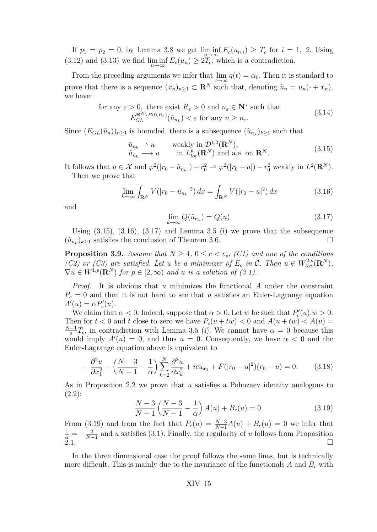<span id="page-15-0"></span>If  $p_1 = p_2 = 0$ , by Lemma [3.8](#page-14-0) we get  $\liminf_{n \to \infty} E_c(u_{n,i}) \geq T_c$  for  $i = 1, 2$ . Using [\(3.12\)](#page-14-0) and [\(3.13\)](#page-14-0) we find  $\liminf_{n\to\infty} E_c(u_n) \geq 2T_c$ , which is a contradiction.

From the preceding arguments we infer that  $\lim_{t \to \infty} q(t) = \alpha_0$ . Then it is standard to prove that there is a sequence  $(x_n)_{n\geq 1} \subset \mathbb{R}^N$  such that, denoting  $\tilde{u}_n = u_n(\cdot + x_n)$ , we have:

for any 
$$
\varepsilon > 0
$$
, there exist  $R_{\varepsilon} > 0$  and  $n_{\varepsilon} \in \mathbb{N}^*$  such that  
\n
$$
E_{GL}^{\mathbf{R}^N \setminus B(0,R_{\varepsilon})}(\tilde{u}_{n_k}) < \varepsilon \text{ for any } n \ge n_{\varepsilon}.
$$
\n(3.14)

Since  $(E_{GL}(\tilde{u}_n))_{n\geq 1}$  is bounded, there is a subsequence  $(\tilde{u}_{n_k})_{k\geq 1}$  such that

$$
\tilde{u}_{n_k} \rightharpoonup u \qquad \text{weakly in } \mathcal{D}^{1,2}(\mathbf{R}^N), \n\tilde{u}_{n_k} \rightharpoonup u \qquad \text{in } L^p_{loc}(\mathbf{R}^N) \text{ and a.e. on } \mathbf{R}^N.
$$
\n(3.15)

It follows that  $u \in \mathcal{X}$  and  $\varphi^2(|r_0 - \tilde{u}_{n_k}|) - r_0^2 \rightharpoonup \varphi^2(|r_0 - u|) - r_0^2$  weakly in  $L^2(\mathbf{R}^N)$ . Then we prove that

$$
\lim_{k \to \infty} \int_{\mathbf{R}^N} V(|r_0 - \tilde{u}_{n_k}|^2) \, dx = \int_{\mathbf{R}^N} V(|r_0 - u|^2) \, dx \tag{3.16}
$$

and

$$
\lim_{k \to \infty} Q(\tilde{u}_{n_k}) = Q(u). \tag{3.17}
$$

Using  $(3.15)$ ,  $(3.16)$ ,  $(3.17)$  and Lemma [3.5](#page-12-0) (i) we prove that the subsequence  $(\tilde{u}_{n_k})_{k≥1}$  satisfies the conclusion of Theorem [3.6.](#page-13-0)  $\Box$ 

**Proposition 3.9.** *Assume that*  $N \geq 4$ ,  $0 \leq c \leq v_s$ , *(C1)* and one of the conditions *(C2)* or *(C3)* are satisfied. Let *u* be a minimizer of  $E_c$  in C. Then  $u \in W_{loc}^{2,p}(\mathbb{R}^N)$ ,  $\nabla u \in W^{1,p}(\mathbb{R}^N)$  *for*  $p \in [2,\infty)$  *and u is a solution of [\(3.1\)](#page-9-0).* 

*Proof.* It is obvious that *u* minimizes the functional *A* under the constraint  $P_c = 0$  and then it is not hard to see that *u* satisfies an Euler-Lagrange equation  $A'(u) = \alpha P'_c(u).$ 

We claim that  $\alpha < 0$ . Indeed, suppose that  $\alpha > 0$ . Let *w* be such that  $P'_c(u) \cdot w > 0$ . Then for  $t < 0$  and  $t$  close to zero we have  $P_c(u + tw) < 0$  and  $A(u + tw) < A(u)$ *N−*1  $\frac{-1}{2}T_c$ , in contradiction with Lemma [3.5](#page-12-0) (i). We cannot have  $\alpha = 0$  because this would imply  $A'(u) = 0$ , and thus  $u = 0$ . Consequently, we have  $\alpha < 0$  and the Euler-Lagrange equation above is equivalent to

$$
-\frac{\partial^2 u}{\partial x_1^2} - \left(\frac{N-3}{N-1} - \frac{1}{\alpha}\right) \sum_{k=2}^N \frac{\partial^2 u}{\partial x_k^2} + icu_{x_1} + F(|r_0 - u|^2)(r_0 - u) = 0. \tag{3.18}
$$

As in Proposition [2.2](#page-6-0) we prove that *u* satisfies a Pohozaev identity analogous to [\(2.2\)](#page-6-0):

$$
\frac{N-3}{N-1} \left( \frac{N-3}{N-1} - \frac{1}{\alpha} \right) A(u) + B_c(u) = 0.
$$
 (3.19)

From (3.19) and from the fact that  $P_c(u) = \frac{N-3}{N-1}A(u) + B_c(u) = 0$  we infer that  $\frac{1}{\alpha} = -\frac{2}{N-1}$  $\frac{2}{N-1}$  and *u* satisfies [\(3.1\)](#page-9-0). Finally, the regularity of *u* follows from Proposition  $2.1.$ 

In the three dimensional case the proof follows the same lines, but is technically more difficult. This is mainly due to the invariance of the functionals  $A$  and  $B<sub>c</sub>$  with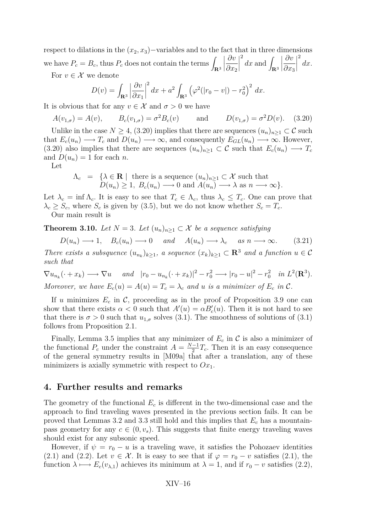respect to dilations in the  $(x_2, x_3)$ −variables and to the fact that in three dimensions we have  $P_c = B_c$ , thus  $P_c$  does not contain the terms  $\int_{\mathbf{R}^3}$  $\begin{array}{c} \begin{array}{c} \begin{array}{c} \end{array} \\ \begin{array}{c} \end{array} \end{array} \end{array}$ *∂v ∂x*<sup>2</sup>  $\begin{array}{c} \hline \end{array}$  $\int_{\mathbf{R}^3} dx$  and  $\int_{\mathbf{R}^3}$  *∂v ∂x*<sup>3</sup>  $\begin{array}{c} \hline \end{array}$ 2 *dx*. For  $v \in \mathcal{X}$  we denote

$$
D(v) = \int_{\mathbf{R}^3} \left| \frac{\partial v}{\partial x_1} \right|^2 dx + a^2 \int_{\mathbf{R}^3} \left( \varphi^2 (|r_0 - v|) - r_0^2 \right)^2 dx.
$$

It is obvious that for any  $v \in \mathcal{X}$  and  $\sigma > 0$  we have

$$
A(v_{1,\sigma}) = A(v)
$$
,  $B_c(v_{1,\sigma}) = \sigma^2 B_c(v)$  and  $D(v_{1,\sigma}) = \sigma^2 D(v)$ . (3.20)

Unlike in the case  $N \geq 4$ , (3.20) implies that there are sequences  $(u_n)_{n\geq 1} \subset \mathcal{C}$  such that  $E_c(u_n) \longrightarrow T_c$  and  $D(u_n) \longrightarrow \infty$ , and consequently  $E_{GL}(u_n) \longrightarrow \infty$ . However, (3.20) also implies that there are sequences  $(u_n)_{n\geq 1} \subset \mathcal{C}$  such that  $E_c(u_n) \longrightarrow T_c$ and  $D(u_n) = 1$  for each *n*.

Let

$$
\Lambda_c = \{ \lambda \in \mathbf{R} \mid \text{ there is a sequence } (u_n)_{n \geq 1} \subset \mathcal{X} \text{ such that } D(u_n) \geq 1, B_c(u_n) \longrightarrow 0 \text{ and } A(u_n) \longrightarrow \lambda \text{ as } n \longrightarrow \infty \}.
$$

Let  $\lambda_c = \inf \Lambda_c$ . It is easy to see that  $T_c \in \Lambda_c$ , thus  $\lambda_c \leq T_c$ . One can prove that  $\lambda_c \geq S_c$ , where  $S_c$  is given by [\(3.5\)](#page-12-0), but we do not know whether  $S_c = T_c$ .

Our main result is

**Theorem 3.10.** *Let*  $N = 3$ *. Let*  $(u_n)_{n \geq 1} \subset \mathcal{X}$  *be a sequence satisfying* 

$$
D(u_n) \longrightarrow 1
$$
,  $B_c(u_n) \longrightarrow 0$  and  $A(u_n) \longrightarrow \lambda_c$  as  $n \longrightarrow \infty$ . (3.21)

*There exists a subsquence*  $(u_{n_k})_{k\geq 1}$ *, a sequence*  $(x_k)_{k\geq 1} \subset \mathbb{R}^3$  *and a function*  $u \in \mathcal{C}$ *such that*

$$
\nabla u_{n_k}(\cdot + x_k) \longrightarrow \nabla u \quad \text{and} \quad |r_0 - u_{n_k}(\cdot + x_k)|^2 - r_0^2 \longrightarrow |r_0 - u|^2 - r_0^2 \quad \text{in } L^2(\mathbf{R}^3).
$$
  
Moreover, we have  $E_c(u) = A(u) = T_c = \lambda_c$  and u is a minimizer of  $E_c$  in  $C$ .

If *u* minimizes  $E_c$  in C, proceeding as in the proof of Proposition [3.9](#page-15-0) one can show that there exists  $\alpha < 0$  such that  $A'(u) = \alpha B'_c(u)$ . Then it is not hard to see that there is  $\sigma > 0$  such that  $u_{1,\sigma}$  solves [\(3.1\)](#page-9-0). The smoothness of solutions of (3.1) follows from Proposition [2.1.](#page-5-0)

Finally, Lemma [3.5](#page-12-0) implies that any minimizer of  $E_c$  in  $\mathcal C$  is also a minimizer of the functional  $P_c$  under the constraint  $A = \frac{N-1}{2}$  $\frac{-1}{2}T_c$ . Then it is an easy consequence of the general symmetry results in [\[M09a\]](#page-21-0) that after a translation, any of these minimizers is axially symmetric with respect to  $Ox_1$ .

## **4. Further results and remarks**

The geometry of the functional *E<sup>c</sup>* is different in the two-dimensional case and the approach to find traveling waves presented in the previous section fails. It can be proved that Lemmas [3.2](#page-11-0) and [3.3](#page-11-0) still hold and this implies that *E<sup>c</sup>* has a mountainpass geometry for any  $c \in (0, v_s)$ . This suggests that finite energy traveling waves should exist for any subsonic speed.

However, if  $\psi = r_0 - u$  is a traveling wave, it satisfies the Pohozaev identities [\(2.1\)](#page-6-0) and [\(2.2\)](#page-6-0). Let  $v \in \mathcal{X}$ . It is easy to see that if  $\varphi = r_0 - v$  satisfies (2.1), the function  $\lambda \mapsto E_c(v_{\lambda,1})$  achieves its minimum at  $\lambda = 1$ , and if  $r_0 - v$  satisfies [\(2.2\)](#page-6-0),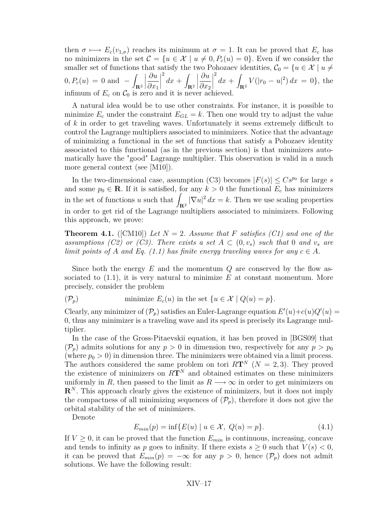<span id="page-17-0"></span>then  $\sigma \mapsto E_c(v_{1,\sigma})$  reaches its minimum at  $\sigma = 1$ . It can be proved that  $E_c$  has no minimizers in the set  $\mathcal{C} = \{u \in \mathcal{X} \mid u \neq 0, P_c(u) = 0\}$ . Even if we consider the smaller set of functions that satisfy the two Pohozaev identities,  $\mathcal{C}_0 = \{u \in \mathcal{X} \mid u \neq 0\}$  $0, P_c(u) = 0$  and  $-$ **R**<sup>2</sup>  $\begin{array}{c} \begin{array}{c} \begin{array}{c} \end{array} \\ \begin{array}{c} \end{array} \end{array} \end{array}$ *∂u ∂x*<sup>1</sup>  $\begin{array}{c} \hline \end{array}$ 2  $dx +$ **R**<sup>2</sup>  $\begin{array}{c} \hline \end{array}$ *∂u ∂x*<sup>2</sup>  $\begin{array}{c} \hline \end{array}$ 2  $dx +$  $\int_{\mathbf{R}^2} V(|r_0 - u|^2) dx = 0$ , the infimum of  $E_c$  on  $C_0$  is zero and it is never achieved.

A natural idea would be to use other constraints. For instance, it is possible to minimize  $E_c$  under the constraint  $E_{GL} = k$ . Then one would try to adjust the value of *k* in order to get traveling waves. Unfortunately it seems extremely difficult to control the Lagrange multipliers associated to minimizers. Notice that the advantage of minimizing a functional in the set of functions that satisfy a Pohozaev identity associated to this functional (as in the previous section) is that minimizers automatically have the "good" Lagrange multiplier. This observation is valid in a much more general context (see [\[M10\]](#page-21-0)).

In the two-dimensional case, assumption (C3) becomes  $|F(s)| \leq Cs^{p_0}$  for large *s* and some  $p_0 \in \mathbf{R}$ . If it is satisfied, for any  $k > 0$  the functional  $E_c$  has minimizers in the set of functions *u* such that  $\int_{\mathbf{R}^2} |\nabla u|^2 dx = k$ . Then we use scaling properties in order to get rid of the Lagrange multipliers associated to minimizers. Following this approach, we prove:

**Theorem 4.1.** ([\[CM10\]](#page-19-0)) Let  $N = 2$ . Assume that F satisfies (C1) and one of the *assumptions (C2) or (C3). There exists a set*  $A \subset (0, v_s)$  *such that* 0 *and*  $v_s$  *are limit points of A and Eq.*  $(1.1)$  *has finite energy traveling waves for any*  $c \in A$ *.* 

Since both the energy *E* and the momentum *Q* are conserved by the flow associated to  $(1.1)$ , it is very natural to minimize  $E$  at constant momentum. More precisely, consider the problem

( $\mathcal{P}_p$ ) minimize  $E_c(u)$  in the set  $\{u \in \mathcal{X} \mid Q(u) = p\}.$ 

Clearly, any minimizer of  $(\mathcal{P}_p)$  satisfies an Euler-Lagrange equation  $E'(u)+c(u)Q'(u)$ 0, thus any minimizer is a traveling wave and its speed is precisely its Lagrange multiplier.

In the case of the Gross-Pitaevskii equation, it has ben proved in [\[BGS09\]](#page-19-0) that  $(\mathcal{P}_p)$  admits solutions for any  $p > 0$  in dimension two, respectively for any  $p > p_0$ (where  $p_0 > 0$ ) in dimension three. The minimizers were obtained via a limit process. The authors considered the same problem on tori  $R\mathbf{T}^{N}$  ( $N=2,3$ ). They proved the existence of minimizers on  $R\mathbf{T}^{N}$  and obtained estimates on these minimizers uniformly in *R*, then passed to the limit as  $R \rightarrow \infty$  in order to get minimizers on **R***<sup>N</sup>* . This approach clearly gives the existence of minimizers, but it does not imply the compactness of all minimizing sequences of  $(\mathcal{P}_p)$ , therefore it does not give the orbital stability of the set of minimizers.

Denote

$$
E_{min}(p) = \inf \{ E(u) \mid u \in \mathcal{X}, \ Q(u) = p \}. \tag{4.1}
$$

If  $V \geq 0$ , it can be proved that the function  $E_{min}$  is continuous, increasing, concave and tends to infinity as *p* goes to infinity. If there exists  $s \geq 0$  such that  $V(s) < 0$ , it can be proved that  $E_{min}(p) = -\infty$  for any  $p > 0$ , hence  $(\mathcal{P}_p)$  does not admit solutions. We have the following result: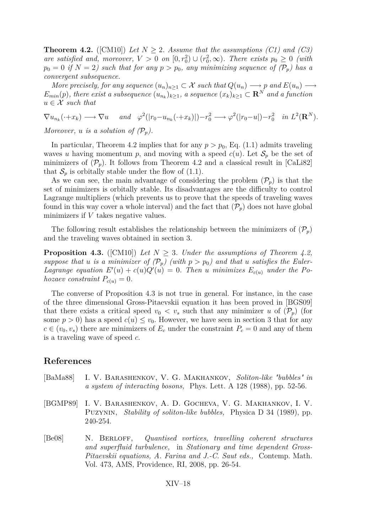<span id="page-18-0"></span>**Theorem 4.2.** ([\[CM10\]](#page-19-0)) Let  $N \geq 2$ . Assume that the assumptions (C1) and (C3) *are satisfied and, moreover,*  $V > 0$  *on*  $[0, r_0^2) \cup (r_0^2, \infty)$ *. There exists*  $p_0 \geq 0$  (with  $p_0 = 0$  *if*  $N = 2$ *) such that for any*  $p > p_0$ *, any minimizing sequence of*  $(\mathcal{P}_p)$  has a *convergent subsequence.*

*More precisely, for any sequence*  $(u_n)_{n\geq 1} \subset \mathcal{X}$  *such that*  $Q(u_n) \longrightarrow p$  *and*  $E(u_n) \longrightarrow$  $E_{min}(p)$ , there exist a subsequence  $(u_{n_k})_{k\geq 1}$ , a sequence  $(x_k)_{k\geq 1} \subset \mathbf{R}^N$  and a function  $u \in \mathcal{X}$  *such that* 

 $\nabla u_{n_k}(\cdot+x_k) \longrightarrow \nabla u$  and  $\varphi^2(|r_0-u_{n_k}(\cdot+x_k)|)-r_0^2 \longrightarrow \varphi^2(|r_0-u|)-r_0^2$  in  $L^2(\mathbf{R}^N)$ .

*Moreover, u is a solution of*  $(\mathcal{P}_n)$ *.* 

In particular, Theorem [4.2](#page-17-0) implies that for any  $p > p_0$ , Eq. [\(1.1\)](#page-1-0) admits traveling waves *u* having momentum *p*, and moving with a speed  $c(u)$ . Let  $S_p$  be the set of minimizers of  $(\mathcal{P}_p)$ . It follows from Theorem [4.2](#page-17-0) and a classical result in [\[CaLi82\]](#page-19-0) that  $S_p$  is orbitally stable under the flow of  $(1.1)$ .

As we can see, the main advantage of considering the problem  $(\mathcal{P}_p)$  is that the set of minimizers is orbitally stable. Its disadvantages are the difficulty to control Lagrange multipliers (which prevents us to prove that the speeds of traveling waves found in this way cover a whole interval) and the fact that  $(\mathcal{P}_p)$  does not have global minimizers if *V* takes negative values.

The following result establishes the relationship between the minimizers of  $(\mathcal{P}_p)$ and the traveling waves obtained in section 3.

**Proposition 4.3.** ([\[CM10\]](#page-19-0)) *Let*  $N > 3$ *. Under the assumptions of Theorem [4.2,](#page-17-0) suppose that u is a minimizer of*  $(\mathcal{P}_p)$  (with  $p > p_0$ ) and that *u satisfies the Euler-Lagrange equation*  $E'(u) + c(u)Q'(u) = 0$ . Then *u* minimizes  $E_{c(u)}$  *under the Pohozaev constraint*  $P_{c(u)} = 0$ *.* 

The converse of Proposition 4.3 is not true in general. For instance, in the case of the three dimensional Gross-Pitaevskii equation it has been proved in [\[BGS09\]](#page-19-0) that there exists a critical speed  $v_0 < v_s$  such that any minimizer *u* of  $(\mathcal{P}_p)$  (for some  $p > 0$ ) has a speed  $c(u) \leq v_0$ . However, we have seen in section 3 that for any  $c \in (v_0, v_s)$  there are minimizers of  $E_c$  under the constraint  $P_c = 0$  and any of them is a traveling wave of speed *c*.

## **References**

- [BaMa88] I. V. Barashenkov, V. G. Makhankov, *Soliton-like "bubbles" in a system of interacting bosons,* Phys. Lett. A 128 (1988), pp. 52-56.
- [BGMP89] I. V. Barashenkov, A. D. Gocheva, V. G. Makhankov, I. V. Puzynin, *Stability of soliton-like bubbles,* Physica D 34 (1989), pp. 240-254.
- [Be08] N. Berloff, *Quantised vortices, travelling coherent structures and superfluid turbulence,* in *Stationary and time dependent Gross-Pitaevskii equations, A. Farina and J.-C. Saut eds.,* Contemp. Math. Vol. 473, AMS, Providence, RI, 2008, pp. 26-54.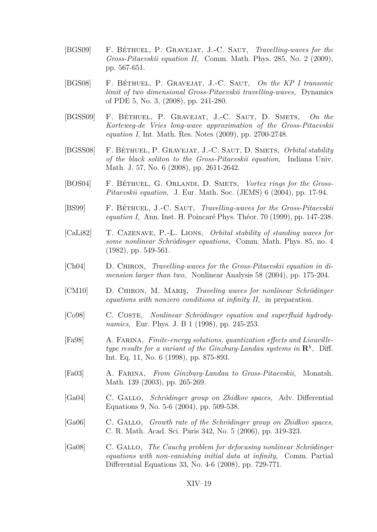- <span id="page-19-0"></span>[BGS09] F. Béthuel, P. Gravejat, J.-C. Saut, *Travelling-waves for the Gross-Pitaevskii equation II,* Comm. Math. Phys. 285, No. 2 (2009), pp. 567-651.
- [BGS08] F. Béthuel, P. Gravejat, J.-C. Saut, *On the KP I transonic limit of two dimensional Gross-Pitaevskii travelling-waves,* Dynamics of PDE 5, No. 3, (2008), pp. 241-280.
- [BGSS09] F. Béthuel, P. Gravejat, J.-C. Saut, D. Smets, *On the Korteweg-de Vries long-wave approximation of the Gross-Pitaevskii equation I,* Int. Math. Res. Notes (2009), pp. 2700-2748.
- [BGSS08] F. Béthuel, P. Gravejat, J.-C. Saut, D. Smets, *Orbital stability of the black soliton to the Gross-Pitaevskii equation,* Indiana Univ. Math. J. 57, No. 6 (2008), pp. 2611-2642.
- [BOS04] F. BÉTHUEL, G. ORLANDI, D. SMETS, *Vortex rings for the Gross-Pitaevskii equation,* J. Eur. Math. Soc. (JEMS) 6 (2004), pp. 17-94.
- [BS99] F. Béthuel, J.-C. Saut, *Travelling-waves for the Gross-Pitaevskii equation I,* Ann. Inst. H. Poincaré Phys. Théor. 70 (1999), pp. 147-238.
- [CaLi82] T. Cazenave, P.-L. Lions, *Orbital stability of standing waves for some nonlinear Schrödinger equations,* Comm. Math. Phys. 85, no. 4 (1982), pp. 549-561.
- [Ch04] D. CHIRON, *Travelling-waves for the Gross-Pitaevskii equation in dimension larger than two,* Nonlinear Analysis 58 (2004), pp. 175-204.
- [CM10] D. Chiron, M. Mariş, *Traveling waves for nonlinear Schrödinger equations with nonzero conditions at infinity II,* in preparation.
- [Co98] C. COSTE, *Nonlinear Schrödinger equation and superfluid hydrodynamics,* Eur. Phys. J. B 1 (1998), pp. 245-253.
- [Fa98] A. Farina, *Finite-energy solutions, quantization effects and Liouvilletype results for a variant of the Ginzburg-Landau systems in*  $\mathbb{R}^k$ , Diff. Int. Eq. 11, No. 6 (1998), pp. 875-893.
- [Fa03] A. Farina, *From Ginzburg-Landau to Gross-Pitaevskii,* Monatsh. Math. 139 (2003), pp. 265-269.
- [Ga04] C. Gallo, *Schrödinger group on Zhidkov spaces,* Adv. Differential Equations 9, No. 5-6 (2004), pp. 509-538.
- [Ga06] C. Gallo, *Growth rate of the Schrödinger group on Zhidkov spaces,* C. R. Math. Acad. Sci. Paris 342, No. 5 (2006), pp. 319-323.
- [Ga08] C. Gallo, *The Cauchy problem for defocusing nonlinear Schrödinger equations with non-vanishing initial data at infinity,* Comm. Partial Differential Equations 33, No. 4-6 (2008), pp. 729-771.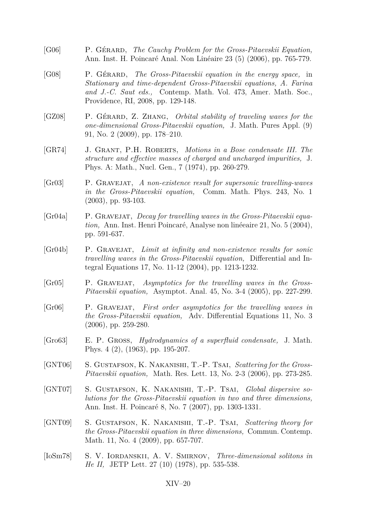- <span id="page-20-0"></span>[G06] P. Gérard, *The Cauchy Problem for the Gross-Pitaevskii Equation,* Ann. Inst. H. Poincaré Anal. Non Linéaire 23 (5) (2006), pp. 765-779.
- [G08] P. Gérard, *The Gross-Pitaevskii equation in the energy space,* in *Stationary and time-dependent Gross-Pitaevskii equations, A. Farina and J.-C. Saut eds.,* Contemp. Math. Vol. 473, Amer. Math. Soc., Providence, RI, 2008, pp. 129-148.
- [GZ08] P. Gérard, Z. Zhang, *Orbital stability of traveling waves for the one-dimensional Gross-Pitaevskii equation,* J. Math. Pures Appl. (9) 91, No. 2 (2009), pp. 178–210.
- [GR74] J. Grant, P.H. Roberts, *Motions in a Bose condensate III. The structure and effective masses of charged and uncharged impurities,* J. Phys. A: Math., Nucl. Gen., 7 (1974), pp. 260-279.
- [Gr03] P. Gravejat, *A non-existence result for supersonic travelling-waves in the Gross-Pitaevskii equation,* Comm. Math. Phys. 243, No. 1 (2003), pp. 93-103.
- [Gr04a] P. Gravejat, *Decay for travelling waves in the Gross-Pitaevskii equation,* Ann. Inst. Henri Poincaré, Analyse non linéeaire 21, No. 5 (2004), pp. 591-637.
- [Gr04b] P. Gravejat, *Limit at infinity and non-existence results for sonic travelling waves in the Gross-Pitaevskii equation,* Differential and Integral Equations 17, No. 11-12 (2004), pp. 1213-1232.
- [Gr05] P. Gravejat, *Asymptotics for the travelling waves in the Gross-Pitaevskii equation,* Asymptot. Anal. 45, No. 3-4 (2005), pp. 227-299.
- [Gr06] P. Gravejat, *First order asymptotics for the travelling waves in the Gross-Pitaevskii equation,* Adv. Differential Equations 11, No. 3 (2006), pp. 259-280.
- [Gro63] E. P. Gross, *Hydrodynamics of a superfluid condensate,* J. Math. Phys. 4 (2), (1963), pp. 195-207.
- [GNT06] S. Gustafson, K. Nakanishi, T.-P. Tsai, *Scattering for the Gross-Pitaevskii equation,* Math. Res. Lett. 13, No. 2-3 (2006), pp. 273-285.
- [GNT07] S. Gustafson, K. Nakanishi, T.-P. Tsai, *Global dispersive solutions for the Gross-Pitaevskii equation in two and three dimensions,* Ann. Inst. H. Poincaré 8, No. 7 (2007), pp. 1303-1331.
- [GNT09] S. Gustafson, K. Nakanishi, T.-P. Tsai, *Scattering theory for the Gross-Pitaevskii equation in three dimensions,* Commun. Contemp. Math. 11, No. 4 (2009), pp. 657-707.
- [IoSm78] S. V. IORDANSKII, A. V. SMIRNOV, *Three-dimensional solitons in He II,* JETP Lett. 27 (10) (1978), pp. 535-538.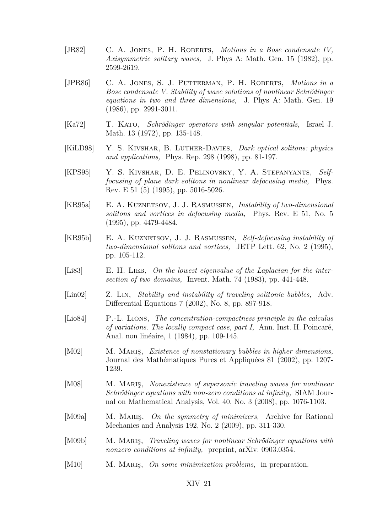- <span id="page-21-0"></span>[JR82] C. A. Jones, P. H. Roberts, *Motions in a Bose condensate IV, Axisymmetric solitary waves,* J. Phys A: Math. Gen. 15 (1982), pp. 2599-2619.
- [JPR86] C. A. Jones, S. J. Putterman, P. H. Roberts, *Motions in a Bose condensate V. Stability of wave solutions of nonlinear Schrödinger equations in two and three dimensions,* J. Phys A: Math. Gen. 19 (1986), pp. 2991-3011.
- [Ka72] T. Kato, *Schrödinger operators with singular potentials,* Israel J. Math. 13 (1972), pp. 135-148.
- [KiLD98] Y. S. Kivshar, B. Luther-Davies, *Dark optical solitons: physics and applications,* Phys. Rep. 298 (1998), pp. 81-197.
- [KPS95] Y. S. KIVSHAR, D. E. PELINOVSKY, Y. A. STEPANYANTS, Self*focusing of plane dark solitons in nonlinear defocusing media,* Phys. Rev. E 51 (5) (1995), pp. 5016-5026.
- [KR95a] E. A. Kuznetsov, J. J. Rasmussen, *Instability of two-dimensional solitons and vortices in defocusing media,* Phys. Rev. E 51, No. 5 (1995), pp. 4479-4484.
- [KR95b] E. A. Kuznetsov, J. J. Rasmussen, *Self-defocusing instability of two-dimensional solitons and vortices,* JETP Lett. 62, No. 2 (1995), pp. 105-112.
- [Li83] E. H. LIEB, On the lowest eigenvalue of the Laplacian for the inter*section of two domains,* Invent. Math. 74 (1983), pp. 441-448.
- [Lin02] Z. Lin, *Stability and instability of traveling solitonic bubbles,* Adv. Differential Equations 7 (2002), No. 8, pp. 897-918.
- [Lio84] P.-L. Lions, *The concentration-compactness principle in the calculus of variations. The locally compact case, part I,* Ann. Inst. H. Poincaré, Anal. non linéaire, 1 (1984), pp. 109-145.
- [M02] M. Mariş, *Existence of nonstationary bubbles in higher dimensions,* Journal des Mathématiques Pures et Appliquées 81 (2002), pp. 1207- 1239.
- [M08] M. Mariş, *Nonexistence of supersonic traveling waves for nonlinear Schrödinger equations with non-zero conditions at infinity,* SIAM Journal on Mathematical Analysis, Vol. 40, No. 3 (2008), pp. 1076-1103.
- [M09a] M. Mariş, *On the symmetry of minimizers,* Archive for Rational Mechanics and Analysis 192, No. 2 (2009), pp. 311-330.
- [M09b] M. Mariş, *Traveling waves for nonlinear Schrödinger equations with nonzero conditions at infinity,* preprint, arXiv: 0903.0354.
- [M10] M. Mariş, *On some minimization problems,* in preparation.